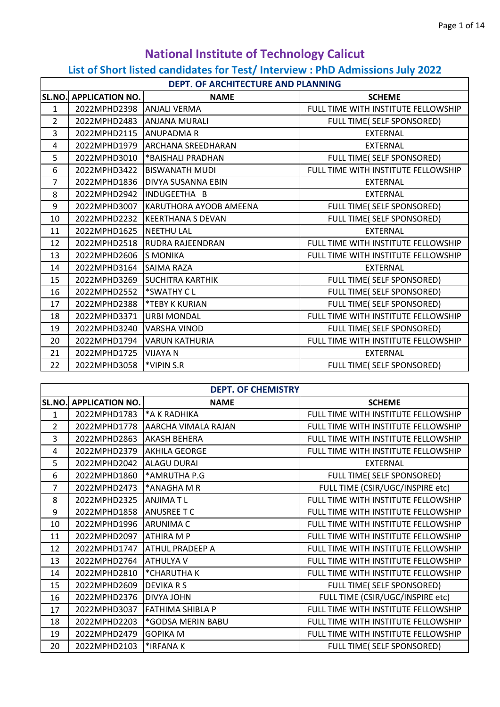## **National Institute of Technology Calicut List of Short listed candidates for Test/ Interview : PhD Admissions July 2022**

|                | DEPT. OF ARCHITECTURE AND PLANNING |                                   |                                     |  |
|----------------|------------------------------------|-----------------------------------|-------------------------------------|--|
| SL.NO.         | <b>APPLICATION NO.</b>             | <b>NAME</b>                       | <b>SCHEME</b>                       |  |
| $\mathbf{1}$   | 2022MPHD2398                       | <b>ANJALI VERMA</b>               | FULL TIME WITH INSTITUTE FELLOWSHIP |  |
| $\overline{2}$ | 2022MPHD2483                       | <b>JANJANA MURALI</b>             | FULL TIME( SELF SPONSORED)          |  |
| 3              | 2022MPHD2115                       | <b>JANUPADMAR</b>                 | <b>EXTERNAL</b>                     |  |
| 4              |                                    | 2022MPHD1979 ARCHANA SREEDHARAN   | <b>EXTERNAL</b>                     |  |
| 5              | 2022MPHD3010                       | *BAISHALI PRADHAN                 | FULL TIME( SELF SPONSORED)          |  |
| 6              |                                    | 2022MPHD3422 BISWANATH MUDI       | FULL TIME WITH INSTITUTE FELLOWSHIP |  |
| $\overline{7}$ |                                    | 2022MPHD1836   DIVYA SUSANNA EBIN | <b>EXTERNAL</b>                     |  |
| 8              | 2022MPHD2942                       | INDUGEETHA B                      | <b>EXTERNAL</b>                     |  |
| 9              | 2022MPHD3007                       | KARUTHORA AYOOB AMEENA            | FULL TIME( SELF SPONSORED)          |  |
| 10             | 2022MPHD2232                       | <b>KEERTHANA S DEVAN</b>          | FULL TIME( SELF SPONSORED)          |  |
| 11             | 2022MPHD1625 NEETHU LAL            |                                   | <b>EXTERNAL</b>                     |  |
| 12             | 2022MPHD2518                       | <b>RUDRA RAJEENDRAN</b>           | FULL TIME WITH INSTITUTE FELLOWSHIP |  |
| 13             | 2022MPHD2606                       | <b>IS MONIKA</b>                  | FULL TIME WITH INSTITUTE FELLOWSHIP |  |
| 14             | 2022MPHD3164                       | <b>SAIMA RAZA</b>                 | <b>EXTERNAL</b>                     |  |
| 15             |                                    | 2022MPHD3269 SUCHITRA KARTHIK     | FULL TIME( SELF SPONSORED)          |  |
| 16             | 2022MPHD2552                       | <b>SWATHY CL</b>                  | FULL TIME( SELF SPONSORED)          |  |
| 17             | 2022MPHD2388                       | <b>FEBY K KURIAN</b>              | FULL TIME( SELF SPONSORED)          |  |
| 18             | 2022MPHD3371                       | <b>URBI MONDAL</b>                | FULL TIME WITH INSTITUTE FELLOWSHIP |  |
| 19             | 2022MPHD3240                       | VARSHA VINOD                      | FULL TIME( SELF SPONSORED)          |  |
| 20             | 2022MPHD1794                       | <b>VARUN KATHURIA</b>             | FULL TIME WITH INSTITUTE FELLOWSHIP |  |
| 21             | 2022MPHD1725                       | <b>VIJAYA N</b>                   | <b>EXTERNAL</b>                     |  |
| 22             | 2022MPHD3058                       | <b>WIPIN S.R</b>                  | FULL TIME( SELF SPONSORED)          |  |

| <b>DEPT. OF CHEMISTRY</b> |                        |                          |                                     |
|---------------------------|------------------------|--------------------------|-------------------------------------|
| SL.NO.                    | <b>APPLICATION NO.</b> | <b>NAME</b>              | <b>SCHEME</b>                       |
| $\mathbf{1}$              | 2022MPHD1783           | *A K RADHIKA             | FULL TIME WITH INSTITUTE FELLOWSHIP |
| $\overline{2}$            | 2022MPHD1778           | AARCHA VIMALA RAJAN      | FULL TIME WITH INSTITUTE FELLOWSHIP |
| 3                         | 2022MPHD2863           | <b>AKASH BEHERA</b>      | FULL TIME WITH INSTITUTE FELLOWSHIP |
| 4                         | 2022MPHD2379           | <b>AKHILA GEORGE</b>     | FULL TIME WITH INSTITUTE FELLOWSHIP |
| 5                         | 2022MPHD2042           | <b>ALAGU DURAI</b>       | <b>EXTERNAL</b>                     |
| 6                         | 2022MPHD1860           | <sup>*</sup> AMRUTHA P.G | FULL TIME( SELF SPONSORED)          |
| $\overline{7}$            | 2022MPHD2473           | *ANAGHA M R              | FULL TIME (CSIR/UGC/INSPIRE etc)    |
| 8                         | 2022MPHD2325           | <b>ANJIMATL</b>          | FULL TIME WITH INSTITUTE FELLOWSHIP |
| 9                         | 2022MPHD1858           | <b>ANUSREE T C</b>       | FULL TIME WITH INSTITUTE FELLOWSHIP |
| 10                        | 2022MPHD1996           | <b>ARUNIMAC</b>          | FULL TIME WITH INSTITUTE FELLOWSHIP |
| 11                        | 2022MPHD2097           | <b>ATHIRA MP</b>         | FULL TIME WITH INSTITUTE FELLOWSHIP |
| 12                        | 2022MPHD1747           | <b>ATHUL PRADEEP A</b>   | FULL TIME WITH INSTITUTE FELLOWSHIP |
| 13                        | 2022MPHD2764           | <b>ATHULYA V</b>         | FULL TIME WITH INSTITUTE FELLOWSHIP |
| 14                        | 2022MPHD2810           | <b>EXPARATHA K</b>       | FULL TIME WITH INSTITUTE FELLOWSHIP |
| 15                        | 2022MPHD2609           | <b>DEVIKARS</b>          | FULL TIME( SELF SPONSORED)          |
| 16                        | 2022MPHD2376           | <b>DIVYA JOHN</b>        | FULL TIME (CSIR/UGC/INSPIRE etc)    |
| 17                        | 2022MPHD3037           | <b>FATHIMA SHIBLA P</b>  | FULL TIME WITH INSTITUTE FELLOWSHIP |
| 18                        | 2022MPHD2203           | *GODSA MERIN BABU        | FULL TIME WITH INSTITUTE FELLOWSHIP |
| 19                        | 2022MPHD2479           | <b>GOPIKA M</b>          | FULL TIME WITH INSTITUTE FELLOWSHIP |
| 20                        | 2022MPHD2103           | *IRFANAK                 | FULL TIME( SELF SPONSORED)          |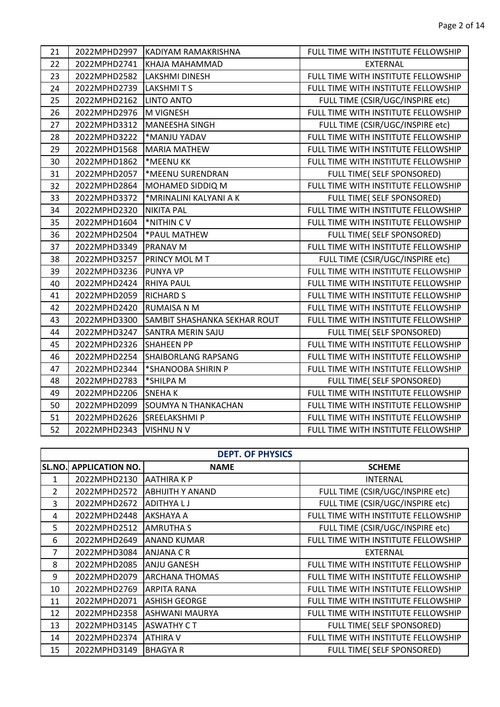| 21 |              | 2022MPHD2997 KADIYAM RAMAKRISHNA | FULL TIME WITH INSTITUTE FELLOWSHIP |
|----|--------------|----------------------------------|-------------------------------------|
| 22 | 2022MPHD2741 | KHAJA MAHAMMAD                   | <b>EXTERNAL</b>                     |
| 23 | 2022MPHD2582 | <b>LAKSHMI DINESH</b>            | FULL TIME WITH INSTITUTE FELLOWSHIP |
| 24 | 2022MPHD2739 | <b>LAKSHMITS</b>                 | FULL TIME WITH INSTITUTE FELLOWSHIP |
| 25 | 2022MPHD2162 | <b>LINTO ANTO</b>                | FULL TIME (CSIR/UGC/INSPIRE etc)    |
| 26 | 2022MPHD2976 | M VIGNESH                        | FULL TIME WITH INSTITUTE FELLOWSHIP |
| 27 | 2022MPHD3312 | <b>MANEESHA SINGH</b>            | FULL TIME (CSIR/UGC/INSPIRE etc)    |
| 28 | 2022MPHD3222 | *MANJU YADAV                     | FULL TIME WITH INSTITUTE FELLOWSHIP |
| 29 | 2022MPHD1568 | <b>MARIA MATHEW</b>              | FULL TIME WITH INSTITUTE FELLOWSHIP |
| 30 | 2022MPHD1862 | *MEENU KK                        | FULL TIME WITH INSTITUTE FELLOWSHIP |
| 31 | 2022MPHD2057 | *MEENU SURENDRAN                 | FULL TIME( SELF SPONSORED)          |
| 32 | 2022MPHD2864 | MOHAMED SIDDIQ M                 | FULL TIME WITH INSTITUTE FELLOWSHIP |
| 33 | 2022MPHD3372 | *MRINALINI KALYANI A K           | FULL TIME( SELF SPONSORED)          |
| 34 | 2022MPHD2320 | <b>NIKITA PAL</b>                | FULL TIME WITH INSTITUTE FELLOWSHIP |
| 35 | 2022MPHD1604 | *NITHIN CV                       | FULL TIME WITH INSTITUTE FELLOWSHIP |
| 36 | 2022MPHD2504 | *PAUL MATHEW                     | FULL TIME( SELF SPONSORED)          |
| 37 | 2022MPHD3349 | <b>PRANAV M</b>                  | FULL TIME WITH INSTITUTE FELLOWSHIP |
| 38 | 2022MPHD3257 | <b>PRINCY MOL M T</b>            | FULL TIME (CSIR/UGC/INSPIRE etc)    |
| 39 | 2022MPHD3236 | <b>PUNYA VP</b>                  | FULL TIME WITH INSTITUTE FELLOWSHIP |
| 40 | 2022MPHD2424 | <b>RHIYA PAUL</b>                | FULL TIME WITH INSTITUTE FELLOWSHIP |
| 41 | 2022MPHD2059 | <b>RICHARD S</b>                 | FULL TIME WITH INSTITUTE FELLOWSHIP |
| 42 | 2022MPHD2420 | <b>RUMAISA N M</b>               | FULL TIME WITH INSTITUTE FELLOWSHIP |
| 43 | 2022MPHD3300 | SAMBIT SHASHANKA SEKHAR ROUT     | FULL TIME WITH INSTITUTE FELLOWSHIP |
| 44 | 2022MPHD3247 | SANTRA MERIN SAJU                | FULL TIME( SELF SPONSORED)          |
| 45 | 2022MPHD2326 | <b>SHAHEEN PP</b>                | FULL TIME WITH INSTITUTE FELLOWSHIP |
| 46 | 2022MPHD2254 | <b>SHAIBORLANG RAPSANG</b>       | FULL TIME WITH INSTITUTE FELLOWSHIP |
| 47 | 2022MPHD2344 | *SHANOOBA SHIRIN P               | FULL TIME WITH INSTITUTE FELLOWSHIP |
| 48 | 2022MPHD2783 | *SHILPA M                        | FULL TIME( SELF SPONSORED)          |
| 49 | 2022MPHD2206 | <b>SNEHAK</b>                    | FULL TIME WITH INSTITUTE FELLOWSHIP |
| 50 | 2022MPHD2099 | <b>SOUMYA N THANKACHAN</b>       | FULL TIME WITH INSTITUTE FELLOWSHIP |
| 51 | 2022MPHD2626 | <b>SREELAKSHMIP</b>              | FULL TIME WITH INSTITUTE FELLOWSHIP |
| 52 | 2022MPHD2343 | <b>VISHNU N V</b>                | FULL TIME WITH INSTITUTE FELLOWSHIP |

|                | <b>DEPT. OF PHYSICS</b> |                         |                                     |  |
|----------------|-------------------------|-------------------------|-------------------------------------|--|
| SL.NO.         | <b>APPLICATION NO.</b>  | <b>NAME</b>             | <b>SCHEME</b>                       |  |
| $\mathbf{1}$   | 2022MPHD2130            | AATHIRA K P             | <b>INTERNAL</b>                     |  |
| $\overline{2}$ | 2022MPHD2572            | <b>ABHIJITH Y ANAND</b> | FULL TIME (CSIR/UGC/INSPIRE etc)    |  |
| 3              | 2022MPHD2672            | <b>ADITHYALJ</b>        | FULL TIME (CSIR/UGC/INSPIRE etc)    |  |
| 4              | 2022MPHD2448            | AKSHAYA A               | FULL TIME WITH INSTITUTE FELLOWSHIP |  |
| 5              | 2022MPHD2512            | <b>AMRUTHA S</b>        | FULL TIME (CSIR/UGC/INSPIRE etc)    |  |
| 6              | 2022MPHD2649            | <b>ANAND KUMAR</b>      | FULL TIME WITH INSTITUTE FELLOWSHIP |  |
| 7              | 2022MPHD3084            | <b>ANJANA C R</b>       | <b>EXTERNAL</b>                     |  |
| 8              | 2022MPHD2085            | <b>ANJU GANESH</b>      | FULL TIME WITH INSTITUTE FELLOWSHIP |  |
| 9              | 2022MPHD2079            | <b>ARCHANA THOMAS</b>   | FULL TIME WITH INSTITUTE FELLOWSHIP |  |
| 10             | 2022MPHD2769            | <b>ARPITA RANA</b>      | FULL TIME WITH INSTITUTE FELLOWSHIP |  |
| 11             | 2022MPHD2071            | <b>ASHISH GEORGE</b>    | FULL TIME WITH INSTITUTE FELLOWSHIP |  |
| 12             | 2022MPHD2358            | ASHWANI MAURYA          | FULL TIME WITH INSTITUTE FELLOWSHIP |  |
| 13             | 2022MPHD3145            | <b>ASWATHY CT</b>       | FULL TIME( SELF SPONSORED)          |  |
| 14             | 2022MPHD2374            | <b>ATHIRA V</b>         | FULL TIME WITH INSTITUTE FELLOWSHIP |  |
| 15             | 2022MPHD3149            | <b>BHAGYA R</b>         | FULL TIME( SELF SPONSORED)          |  |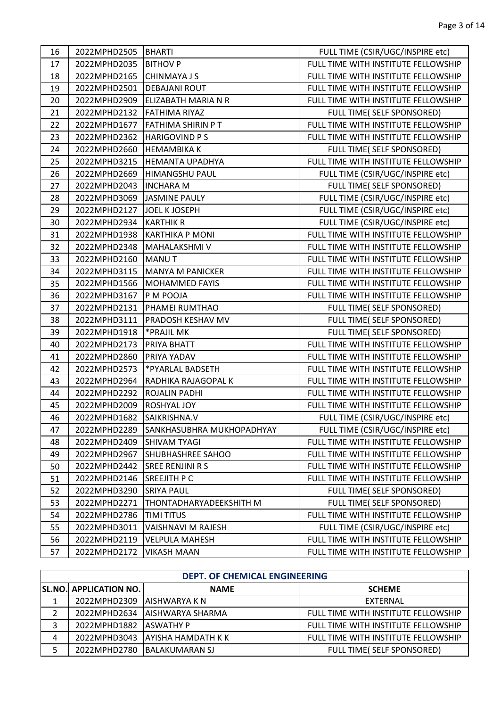| 16 | 2022MPHD2505 BHARTI |                           | FULL TIME (CSIR/UGC/INSPIRE etc)    |
|----|---------------------|---------------------------|-------------------------------------|
| 17 | 2022MPHD2035        | <b>BITHOV P</b>           | FULL TIME WITH INSTITUTE FELLOWSHIP |
| 18 | 2022MPHD2165        | <b>CHINMAYA J S</b>       | FULL TIME WITH INSTITUTE FELLOWSHIP |
| 19 | 2022MPHD2501        | <b>DEBAJANI ROUT</b>      | FULL TIME WITH INSTITUTE FELLOWSHIP |
| 20 | 2022MPHD2909        | ELIZABATH MARIA N R       | FULL TIME WITH INSTITUTE FELLOWSHIP |
| 21 | 2022MPHD2132        | <b>FATHIMA RIYAZ</b>      | FULL TIME( SELF SPONSORED)          |
| 22 | 2022MPHD1677        | <b>FATHIMA SHIRIN P T</b> | FULL TIME WITH INSTITUTE FELLOWSHIP |
| 23 | 2022MPHD2362        | <b>HARIGOVIND PS</b>      | FULL TIME WITH INSTITUTE FELLOWSHIP |
| 24 | 2022MPHD2660        | <b>HEMAMBIKA K</b>        | FULL TIME( SELF SPONSORED)          |
| 25 | 2022MPHD3215        | <b>HEMANTA UPADHYA</b>    | FULL TIME WITH INSTITUTE FELLOWSHIP |
| 26 | 2022MPHD2669        | <b>HIMANGSHU PAUL</b>     | FULL TIME (CSIR/UGC/INSPIRE etc)    |
| 27 | 2022MPHD2043        | <b>INCHARA M</b>          | FULL TIME( SELF SPONSORED)          |
| 28 | 2022MPHD3069        | <b>JASMINE PAULY</b>      | FULL TIME (CSIR/UGC/INSPIRE etc)    |
| 29 | 2022MPHD2127        | <b>JOEL K JOSEPH</b>      | FULL TIME (CSIR/UGC/INSPIRE etc)    |
| 30 | 2022MPHD2934        | <b>KARTHIK R</b>          | FULL TIME (CSIR/UGC/INSPIRE etc)    |
| 31 | 2022MPHD1938        | <b>KARTHIKA P MONI</b>    | FULL TIME WITH INSTITUTE FELLOWSHIP |
| 32 | 2022MPHD2348        | <b>MAHALAKSHMIV</b>       | FULL TIME WITH INSTITUTE FELLOWSHIP |
| 33 | 2022MPHD2160        | <b>MANUT</b>              | FULL TIME WITH INSTITUTE FELLOWSHIP |
| 34 | 2022MPHD3115        | MANYA M PANICKER          | FULL TIME WITH INSTITUTE FELLOWSHIP |
| 35 | 2022MPHD1566        | <b>MOHAMMED FAYIS</b>     | FULL TIME WITH INSTITUTE FELLOWSHIP |
| 36 | 2022MPHD3167        | P M POOJA                 | FULL TIME WITH INSTITUTE FELLOWSHIP |
| 37 | 2022MPHD2131        | PHAMEI RUMTHAO            | FULL TIME( SELF SPONSORED)          |
| 38 | 2022MPHD3111        | PRADOSH KESHAV MV         | FULL TIME( SELF SPONSORED)          |
| 39 | 2022MPHD1918        | *PRAJIL MK                | FULL TIME( SELF SPONSORED)          |
| 40 | 2022MPHD2173        | PRIYA BHATT               | FULL TIME WITH INSTITUTE FELLOWSHIP |
| 41 | 2022MPHD2860        | PRIYA YADAV               | FULL TIME WITH INSTITUTE FELLOWSHIP |
| 42 | 2022MPHD2573        | *PYARLAL BADSETH          | FULL TIME WITH INSTITUTE FELLOWSHIP |
| 43 | 2022MPHD2964        | RADHIKA RAJAGOPAL K       | FULL TIME WITH INSTITUTE FELLOWSHIP |
| 44 | 2022MPHD2292        | <b>ROJALIN PADHI</b>      | FULL TIME WITH INSTITUTE FELLOWSHIP |
| 45 | 2022MPHD2009        | ROSHYAL JOY               | FULL TIME WITH INSTITUTE FELLOWSHIP |
| 46 | 2022MPHD1682        | SAIKRISHNA.V              | FULL TIME (CSIR/UGC/INSPIRE etc)    |
| 47 | 2022MPHD2289        | SANKHASUBHRA MUKHOPADHYAY | FULL TIME (CSIR/UGC/INSPIRE etc)    |
| 48 | 2022MPHD2409        | <b>SHIVAM TYAGI</b>       | FULL TIME WITH INSTITUTE FELLOWSHIP |
| 49 | 2022MPHD2967        | <b>SHUBHASHREE SAHOO</b>  | FULL TIME WITH INSTITUTE FELLOWSHIP |
| 50 | 2022MPHD2442        | <b>SREE RENJINI R S</b>   | FULL TIME WITH INSTITUTE FELLOWSHIP |
| 51 | 2022MPHD2146        | <b>SREEJITH P C</b>       | FULL TIME WITH INSTITUTE FELLOWSHIP |
| 52 | 2022MPHD3290        | <b>SRIYA PAUL</b>         | FULL TIME( SELF SPONSORED)          |
| 53 | 2022MPHD2271        | THONTADHARYADEEKSHITH M   | FULL TIME( SELF SPONSORED)          |
| 54 | 2022MPHD2786        | <b>TIMI TITUS</b>         | FULL TIME WITH INSTITUTE FELLOWSHIP |
| 55 | 2022MPHD3011        | VAISHNAVI M RAJESH        | FULL TIME (CSIR/UGC/INSPIRE etc)    |
| 56 | 2022MPHD2119        | <b>VELPULA MAHESH</b>     | FULL TIME WITH INSTITUTE FELLOWSHIP |
| 57 | 2022MPHD2172        | <b>VIKASH MAAN</b>        | FULL TIME WITH INSTITUTE FELLOWSHIP |

| <b>DEPT. OF CHEMICAL ENGINEERING</b> |                               |                               |                                     |
|--------------------------------------|-------------------------------|-------------------------------|-------------------------------------|
|                                      | <b>SL.NO. APPLICATION NO.</b> | <b>NAME</b>                   | <b>SCHEME</b>                       |
|                                      | 2022MPHD2309                  | <b>IAISHWARYA K N</b>         | <b>FXTERNAL</b>                     |
|                                      |                               | 2022MPHD2634 AISHWARYA SHARMA | FULL TIME WITH INSTITUTE FELLOWSHIP |
| 3                                    | 2022MPHD1882                  | <b>IASWATHY P</b>             | FULL TIME WITH INSTITUTE FELLOWSHIP |
| 4                                    | 2022MPHD3043                  | <b>JAYISHA HAMDATH K K</b>    | FULL TIME WITH INSTITUTE FELLOWSHIP |
|                                      |                               | 2022MPHD2780 BALAKUMARAN SJ   | FULL TIME( SELF SPONSORED)          |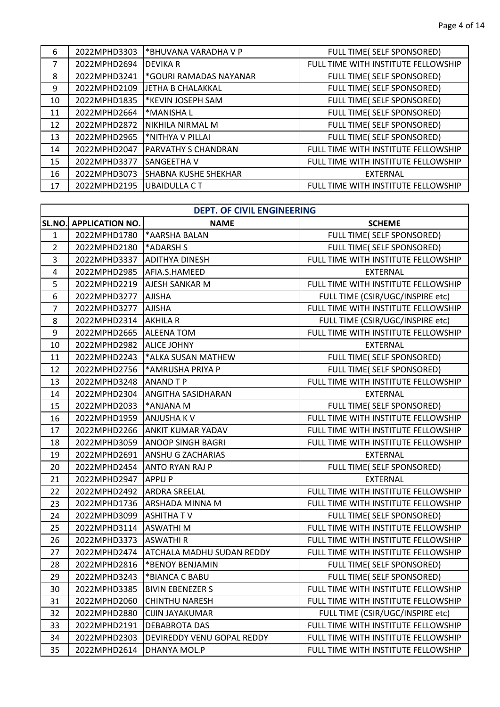| 6  | 2022MPHD3303 | *BHUVANA VARADHA V P        | FULL TIME( SELF SPONSORED)          |
|----|--------------|-----------------------------|-------------------------------------|
| 7  | 2022MPHD2694 | <b>DEVIKA R</b>             | FULL TIME WITH INSTITUTE FELLOWSHIP |
| 8  | 2022MPHD3241 | *GOURI RAMADAS NAYANAR      | FULL TIME( SELF SPONSORED)          |
| 9  | 2022MPHD2109 | JETHA B CHALAKKAL           | FULL TIME( SELF SPONSORED)          |
| 10 | 2022MPHD1835 | *KEVIN JOSEPH SAM           | FULL TIME( SELF SPONSORED)          |
| 11 | 2022MPHD2664 | *MANISHA L                  | FULL TIME( SELF SPONSORED)          |
| 12 | 2022MPHD2872 | NIKHILA NIRMAL M            | FULL TIME( SELF SPONSORED)          |
| 13 | 2022MPHD2965 | *NITHYA V PILLAI            | FULL TIME( SELF SPONSORED)          |
| 14 | 2022MPHD2047 | <b>PARVATHY S CHANDRAN</b>  | FULL TIME WITH INSTITUTE FELLOWSHIP |
| 15 | 2022MPHD3377 | SANGEETHA V                 | FULL TIME WITH INSTITUTE FELLOWSHIP |
| 16 | 2022MPHD3073 | <b>SHABNA KUSHE SHEKHAR</b> | <b>EXTERNAL</b>                     |
| 17 | 2022MPHD2195 | <b>UBAIDULLA CT</b>         | FULL TIME WITH INSTITUTE FELLOWSHIP |

|                | <b>DEPT. OF CIVIL ENGINEERING</b> |                            |                                     |  |
|----------------|-----------------------------------|----------------------------|-------------------------------------|--|
| SL.NO.         | <b>APPLICATION NO.</b>            | <b>NAME</b>                | <b>SCHEME</b>                       |  |
| $\mathbf{1}$   | 2022MPHD1780                      | *AARSHA BALAN              | FULL TIME( SELF SPONSORED)          |  |
| $\overline{2}$ | 2022MPHD2180                      | *ADARSH S                  | FULL TIME( SELF SPONSORED)          |  |
| 3              | 2022MPHD3337                      | <b>ADITHYA DINESH</b>      | FULL TIME WITH INSTITUTE FELLOWSHIP |  |
| 4              | 2022MPHD2985                      | AFIA.S.HAMEED              | <b>EXTERNAL</b>                     |  |
| 5              | 2022MPHD2219                      | AJESH SANKAR M             | FULL TIME WITH INSTITUTE FELLOWSHIP |  |
| 6              | 2022MPHD3277                      | <b>AJISHA</b>              | FULL TIME (CSIR/UGC/INSPIRE etc)    |  |
| $\overline{7}$ | 2022MPHD3277                      | <b>AJISHA</b>              | FULL TIME WITH INSTITUTE FELLOWSHIP |  |
| 8              | 2022MPHD2314                      | <b>AKHILA R</b>            | FULL TIME (CSIR/UGC/INSPIRE etc)    |  |
| 9              | 2022MPHD2665                      | <b>ALEENA TOM</b>          | FULL TIME WITH INSTITUTE FELLOWSHIP |  |
| 10             | 2022MPHD2982                      | <b>ALICE JOHNY</b>         | <b>EXTERNAL</b>                     |  |
| 11             | 2022MPHD2243                      | *ALKA SUSAN MATHEW         | FULL TIME( SELF SPONSORED)          |  |
| 12             | 2022MPHD2756                      | *AMRUSHA PRIYA P           | FULL TIME( SELF SPONSORED)          |  |
| 13             | 2022MPHD3248                      | <b>ANAND TP</b>            | FULL TIME WITH INSTITUTE FELLOWSHIP |  |
| 14             | 2022MPHD2304                      | <b>ANGITHA SASIDHARAN</b>  | <b>EXTERNAL</b>                     |  |
| 15             | 2022MPHD2033                      | *ANJANA M                  | FULL TIME( SELF SPONSORED)          |  |
| 16             | 2022MPHD1959                      | <b>ANJUSHAKV</b>           | FULL TIME WITH INSTITUTE FELLOWSHIP |  |
| 17             | 2022MPHD2266                      | <b>ANKIT KUMAR YADAV</b>   | FULL TIME WITH INSTITUTE FELLOWSHIP |  |
| 18             | 2022MPHD3059                      | <b>ANOOP SINGH BAGRI</b>   | FULL TIME WITH INSTITUTE FELLOWSHIP |  |
| 19             | 2022MPHD2691                      | ANSHU G ZACHARIAS          | <b>EXTERNAL</b>                     |  |
| 20             | 2022MPHD2454                      | <b>ANTO RYAN RAJ P</b>     | FULL TIME( SELF SPONSORED)          |  |
| 21             | 2022MPHD2947                      | <b>APPUP</b>               | <b>EXTERNAL</b>                     |  |
| 22             | 2022MPHD2492                      | <b>ARDRA SREELAL</b>       | FULL TIME WITH INSTITUTE FELLOWSHIP |  |
| 23             | 2022MPHD1736                      | <b>ARSHADA MINNA M</b>     | FULL TIME WITH INSTITUTE FELLOWSHIP |  |
| 24             | 2022MPHD3099                      | <b>ASHITHATV</b>           | FULL TIME( SELF SPONSORED)          |  |
| 25             | 2022MPHD3114                      | <b>ASWATHIM</b>            | FULL TIME WITH INSTITUTE FELLOWSHIP |  |
| 26             | 2022MPHD3373                      | <b>ASWATHIR</b>            | FULL TIME WITH INSTITUTE FELLOWSHIP |  |
| 27             | 2022MPHD2474                      | ATCHALA MADHU SUDAN REDDY  | FULL TIME WITH INSTITUTE FELLOWSHIP |  |
| 28             | 2022MPHD2816                      | *BENOY BENJAMIN            | FULL TIME( SELF SPONSORED)          |  |
| 29             | 2022MPHD3243                      | *BIANCA C BABU             | FULL TIME( SELF SPONSORED)          |  |
| 30             | 2022MPHD3385                      | <b>BIVIN EBENEZER S</b>    | FULL TIME WITH INSTITUTE FELLOWSHIP |  |
| 31             | 2022MPHD2060                      | <b>CHINTHU NARESH</b>      | FULL TIME WITH INSTITUTE FELLOWSHIP |  |
| 32             | 2022MPHD2880                      | CIJIN JAYAKUMAR            | FULL TIME (CSIR/UGC/INSPIRE etc)    |  |
| 33             | 2022MPHD2191                      | DEBABROTA DAS              | FULL TIME WITH INSTITUTE FELLOWSHIP |  |
| 34             | 2022MPHD2303                      | DEVIREDDY VENU GOPAL REDDY | FULL TIME WITH INSTITUTE FELLOWSHIP |  |
| 35             | 2022MPHD2614                      | DHANYA MOL.P               | FULL TIME WITH INSTITUTE FELLOWSHIP |  |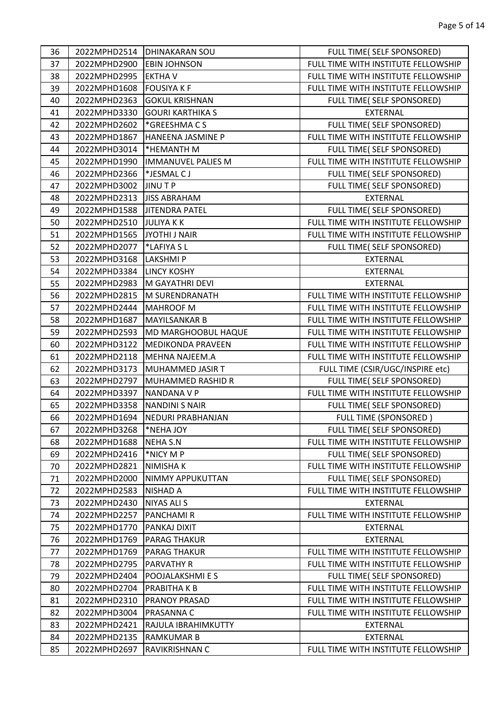| 36 | 2022MPHD2514 | <b>DHINAKARAN SOU</b>     | FULL TIME( SELF SPONSORED)          |
|----|--------------|---------------------------|-------------------------------------|
| 37 | 2022MPHD2900 | <b>EBIN JOHNSON</b>       | FULL TIME WITH INSTITUTE FELLOWSHIP |
| 38 | 2022MPHD2995 | <b>EKTHAV</b>             | FULL TIME WITH INSTITUTE FELLOWSHIP |
| 39 | 2022MPHD1608 | <b>FOUSIYA K F</b>        | FULL TIME WITH INSTITUTE FELLOWSHIP |
| 40 | 2022MPHD2363 | <b>GOKUL KRISHNAN</b>     | FULL TIME( SELF SPONSORED)          |
| 41 | 2022MPHD3330 | <b>GOURI KARTHIKA S</b>   | <b>EXTERNAL</b>                     |
| 42 | 2022MPHD2602 | *GREESHMACS               | FULL TIME( SELF SPONSORED)          |
| 43 | 2022MPHD1867 | HANEENA JASMINE P         | FULL TIME WITH INSTITUTE FELLOWSHIP |
| 44 | 2022MPHD3014 | *HEMANTH M                | FULL TIME( SELF SPONSORED)          |
| 45 | 2022MPHD1990 | <b>IMMANUVEL PALIES M</b> | FULL TIME WITH INSTITUTE FELLOWSHIP |
| 46 | 2022MPHD2366 | *JESMAL CJ                | FULL TIME( SELF SPONSORED)          |
| 47 | 2022MPHD3002 | <b>JINUTP</b>             | FULL TIME( SELF SPONSORED)          |
| 48 | 2022MPHD2313 | <b>JISS ABRAHAM</b>       | EXTERNAL                            |
| 49 | 2022MPHD1588 | <b>JITENDRA PATEL</b>     | FULL TIME( SELF SPONSORED)          |
| 50 | 2022MPHD2510 | <b>JULIYAKK</b>           | FULL TIME WITH INSTITUTE FELLOWSHIP |
| 51 | 2022MPHD1565 | JYOTHI J NAIR             | FULL TIME WITH INSTITUTE FELLOWSHIP |
| 52 | 2022MPHD2077 | *LAFIYA SL                | FULL TIME( SELF SPONSORED)          |
| 53 | 2022MPHD3168 | <b>LAKSHMIP</b>           | <b>EXTERNAL</b>                     |
| 54 | 2022MPHD3384 | <b>LINCY KOSHY</b>        | EXTERNAL                            |
| 55 | 2022MPHD2983 | M GAYATHRI DEVI           | <b>EXTERNAL</b>                     |
| 56 | 2022MPHD2815 | M SURENDRANATH            | FULL TIME WITH INSTITUTE FELLOWSHIP |
| 57 | 2022MPHD2444 | <b>MAHROOF M</b>          | FULL TIME WITH INSTITUTE FELLOWSHIP |
| 58 | 2022MPHD1687 | <b>MAYILSANKAR B</b>      | FULL TIME WITH INSTITUTE FELLOWSHIP |
| 59 | 2022MPHD2593 | MD MARGHOOBUL HAQUE       | FULL TIME WITH INSTITUTE FELLOWSHIP |
| 60 | 2022MPHD3122 | <b>MEDIKONDA PRAVEEN</b>  | FULL TIME WITH INSTITUTE FELLOWSHIP |
| 61 | 2022MPHD2118 | MEHNA NAJEEM.A            | FULL TIME WITH INSTITUTE FELLOWSHIP |
| 62 | 2022MPHD3173 | MUHAMMED JASIR T          | FULL TIME (CSIR/UGC/INSPIRE etc)    |
| 63 | 2022MPHD2797 | MUHAMMED RASHID R         | FULL TIME( SELF SPONSORED)          |
| 64 | 2022MPHD3397 | <b>NANDANA V P</b>        | FULL TIME WITH INSTITUTE FELLOWSHIP |
| 65 | 2022MPHD3358 | <b>NANDINI S NAIR</b>     | FULL TIME( SELF SPONSORED)          |
| 66 | 2022MPHD1694 | NEDURI PRABHANJAN         | <b>FULL TIME (SPONSORED)</b>        |
| 67 | 2022MPHD3268 | *NEHA JOY                 | FULL TIME( SELF SPONSORED)          |
| 68 | 2022MPHD1688 | <b>NEHA S.N</b>           | FULL TIME WITH INSTITUTE FELLOWSHIP |
| 69 | 2022MPHD2416 | *NICY M P                 | FULL TIME( SELF SPONSORED)          |
| 70 | 2022MPHD2821 | NIMISHA K                 | FULL TIME WITH INSTITUTE FELLOWSHIP |
| 71 | 2022MPHD2000 | NIMMY APPUKUTTAN          | FULL TIME( SELF SPONSORED)          |
| 72 | 2022MPHD2583 | <b>NISHAD A</b>           | FULL TIME WITH INSTITUTE FELLOWSHIP |
| 73 | 2022MPHD2430 | <b>NIYAS ALI S</b>        | EXTERNAL                            |
| 74 | 2022MPHD2257 | PANCHAMI R                | FULL TIME WITH INSTITUTE FELLOWSHIP |
| 75 | 2022MPHD1770 | PANKAJ DIXIT              | EXTERNAL                            |
| 76 | 2022MPHD1769 | <b>PARAG THAKUR</b>       | EXTERNAL                            |
| 77 | 2022MPHD1769 | <b>PARAG THAKUR</b>       | FULL TIME WITH INSTITUTE FELLOWSHIP |
| 78 | 2022MPHD2795 | <b>PARVATHY R</b>         | FULL TIME WITH INSTITUTE FELLOWSHIP |
| 79 | 2022MPHD2404 | POOJALAKSHMI E S          | FULL TIME( SELF SPONSORED)          |
| 80 | 2022MPHD2704 | PRABITHA K B              | FULL TIME WITH INSTITUTE FELLOWSHIP |
| 81 | 2022MPHD2310 | PRANOY PRASAD             | FULL TIME WITH INSTITUTE FELLOWSHIP |
| 82 | 2022MPHD3004 | PRASANNA C                | FULL TIME WITH INSTITUTE FELLOWSHIP |
| 83 | 2022MPHD2421 | RAJULA IBRAHIMKUTTY       | <b>EXTERNAL</b>                     |
| 84 | 2022MPHD2135 | <b>RAMKUMAR B</b>         | <b>EXTERNAL</b>                     |
| 85 | 2022MPHD2697 | RAVIKRISHNAN C            | FULL TIME WITH INSTITUTE FELLOWSHIP |
|    |              |                           |                                     |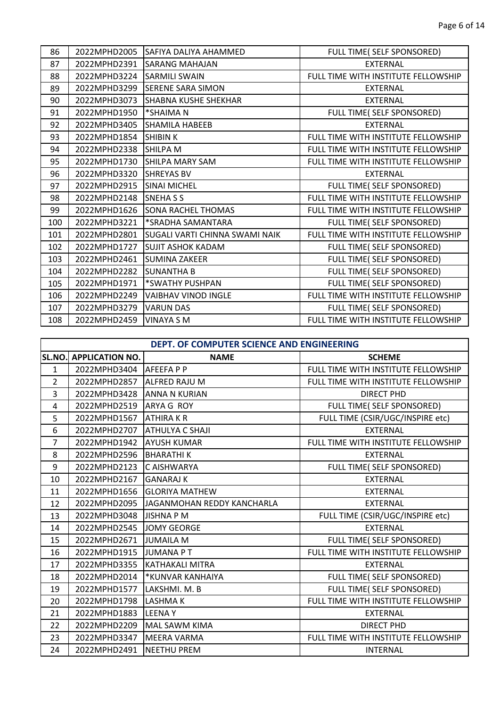| 86  | 2022MPHD2005 | <b>ISAFIYA DALIYA AHAMMED</b>         | FULL TIME( SELF SPONSORED)          |
|-----|--------------|---------------------------------------|-------------------------------------|
| 87  | 2022MPHD2391 | <b>SARANG MAHAJAN</b>                 | <b>EXTERNAL</b>                     |
| 88  | 2022MPHD3224 | <b>SARMILI SWAIN</b>                  | FULL TIME WITH INSTITUTE FELLOWSHIP |
| 89  | 2022MPHD3299 | <b>SERENE SARA SIMON</b>              | <b>EXTERNAL</b>                     |
| 90  | 2022MPHD3073 | <b>SHABNA KUSHE SHEKHAR</b>           | <b>EXTERNAL</b>                     |
| 91  | 2022MPHD1950 | *SHAIMA N                             | FULL TIME( SELF SPONSORED)          |
| 92  | 2022MPHD3405 | <b>SHAMILA HABEEB</b>                 | <b>EXTERNAL</b>                     |
| 93  | 2022MPHD1854 | <b>SHIBIN K</b>                       | FULL TIME WITH INSTITUTE FELLOWSHIP |
| 94  | 2022MPHD2338 | <b>SHILPA M</b>                       | FULL TIME WITH INSTITUTE FELLOWSHIP |
| 95  | 2022MPHD1730 | <b>SHILPA MARY SAM</b>                | FULL TIME WITH INSTITUTE FELLOWSHIP |
| 96  | 2022MPHD3320 | <b>ISHREYAS BV</b>                    | <b>EXTERNAL</b>                     |
| 97  | 2022MPHD2915 | <b>SINAI MICHEL</b>                   | FULL TIME( SELF SPONSORED)          |
| 98  | 2022MPHD2148 | <b>SNEHASS</b>                        | FULL TIME WITH INSTITUTE FELLOWSHIP |
| 99  | 2022MPHD1626 | <b>SONA RACHEL THOMAS</b>             | FULL TIME WITH INSTITUTE FELLOWSHIP |
| 100 | 2022MPHD3221 | *SRADHA SAMANTARA                     | FULL TIME( SELF SPONSORED)          |
| 101 | 2022MPHD2801 | <b>SUGALI VARTI CHINNA SWAMI NAIK</b> | FULL TIME WITH INSTITUTE FELLOWSHIP |
| 102 | 2022MPHD1727 | <b>SUJIT ASHOK KADAM</b>              | FULL TIME( SELF SPONSORED)          |
| 103 | 2022MPHD2461 | <b>ISUMINA ZAKEER</b>                 | FULL TIME( SELF SPONSORED)          |
| 104 | 2022MPHD2282 | <b>SUNANTHA B</b>                     | FULL TIME( SELF SPONSORED)          |
| 105 | 2022MPHD1971 | *SWATHY PUSHPAN                       | FULL TIME( SELF SPONSORED)          |
| 106 | 2022MPHD2249 | VAIBHAV VINOD INGLE                   | FULL TIME WITH INSTITUTE FELLOWSHIP |
| 107 | 2022MPHD3279 | <b>VARUN DAS</b>                      | FULL TIME( SELF SPONSORED)          |
| 108 | 2022MPHD2459 | <b>VINAYA S M</b>                     | FULL TIME WITH INSTITUTE FELLOWSHIP |

|                | DEPT. OF COMPUTER SCIENCE AND ENGINEERING |                            |                                     |  |
|----------------|-------------------------------------------|----------------------------|-------------------------------------|--|
| SL.NO.         | <b>APPLICATION NO.</b>                    | <b>NAME</b>                | <b>SCHEME</b>                       |  |
| $\mathbf{1}$   | 2022MPHD3404 AFEEFAPP                     |                            | FULL TIME WITH INSTITUTE FELLOWSHIP |  |
| $\overline{2}$ | 2022MPHD2857                              | <b>ALFRED RAJU M</b>       | FULL TIME WITH INSTITUTE FELLOWSHIP |  |
| 3              | 2022MPHD3428 ANNA N KURIAN                |                            | <b>DIRECT PHD</b>                   |  |
| 4              | 2022MPHD2519                              | ARYA G ROY                 | FULL TIME( SELF SPONSORED)          |  |
| 5              | 2022MPHD1567                              | <b>ATHIRAKR</b>            | FULL TIME (CSIR/UGC/INSPIRE etc)    |  |
| 6              | 2022MPHD2707                              | <b>ATHULYA C SHAJI</b>     | <b>EXTERNAL</b>                     |  |
| $\overline{7}$ | 2022MPHD1942                              | <b>AYUSH KUMAR</b>         | FULL TIME WITH INSTITUTE FELLOWSHIP |  |
| 8              | 2022MPHD2596                              | <b>BHARATHIK</b>           | <b>EXTERNAL</b>                     |  |
| 9              | 2022MPHD2123                              | <b>IC AISHWARYA</b>        | FULL TIME( SELF SPONSORED)          |  |
| 10             | 2022MPHD2167                              | <b>GANARAJ K</b>           | <b>EXTERNAL</b>                     |  |
| 11             | 2022MPHD1656                              | <b>GLORIYA MATHEW</b>      | <b>EXTERNAL</b>                     |  |
| 12             | 2022MPHD2095                              | JAGANMOHAN REDDY KANCHARLA | <b>EXTERNAL</b>                     |  |
| 13             | 2022MPHD3048                              | JISHNA P M                 | FULL TIME (CSIR/UGC/INSPIRE etc)    |  |
| 14             | 2022MPHD2545                              | JOMY GEORGE                | <b>EXTERNAL</b>                     |  |
| 15             | 2022MPHD2671                              | <b>JUMAILA M</b>           | FULL TIME( SELF SPONSORED)          |  |
| 16             | 2022MPHD1915                              | JUMANA PT                  | FULL TIME WITH INSTITUTE FELLOWSHIP |  |
| 17             | 2022MPHD3355                              | KATHAKALI MITRA            | <b>EXTERNAL</b>                     |  |
| 18             | 2022MPHD2014                              | *KUNVAR KANHAIYA           | FULL TIME( SELF SPONSORED)          |  |
| 19             | 2022MPHD1577                              | LAKSHMI. M. B              | FULL TIME( SELF SPONSORED)          |  |
| 20             | 2022MPHD1798                              | <b>LASHMAK</b>             | FULL TIME WITH INSTITUTE FELLOWSHIP |  |
| 21             | 2022MPHD1883 ILEENAY                      |                            | <b>EXTERNAL</b>                     |  |
| 22             | 2022MPHD2209                              | MAL SAWM KIMA              | <b>DIRECT PHD</b>                   |  |
| 23             | 2022MPHD3347                              | <b>MEERA VARMA</b>         | FULL TIME WITH INSTITUTE FELLOWSHIP |  |
| 24             | 2022MPHD2491                              | <b>NEETHU PREM</b>         | <b>INTERNAL</b>                     |  |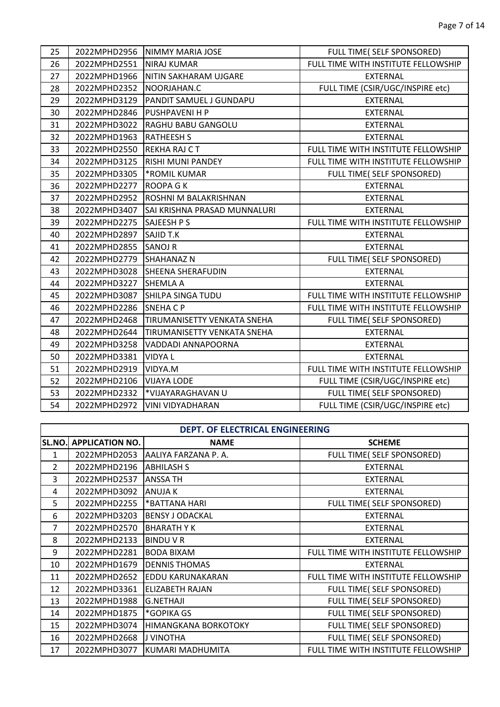$\mathbf{I}$ 

| 25 |              | 2022MPHD2956  NIMMY MARIA JOSE      | FULL TIME( SELF SPONSORED)          |
|----|--------------|-------------------------------------|-------------------------------------|
| 26 | 2022MPHD2551 | <b>NIRAJ KUMAR</b>                  | FULL TIME WITH INSTITUTE FELLOWSHIP |
| 27 | 2022MPHD1966 | NITIN SAKHARAM UJGARE               | <b>EXTERNAL</b>                     |
| 28 | 2022MPHD2352 | INOORJAHAN.C                        | FULL TIME (CSIR/UGC/INSPIRE etc)    |
| 29 | 2022MPHD3129 | <b>PANDIT SAMUEL J GUNDAPU</b>      | <b>EXTERNAL</b>                     |
| 30 | 2022MPHD2846 | <b>PUSHPAVENI H P</b>               | <b>EXTERNAL</b>                     |
| 31 | 2022MPHD3022 | RAGHU BABU GANGOLU                  | <b>EXTERNAL</b>                     |
| 32 | 2022MPHD1963 | <b>RATHEESH S</b>                   | <b>EXTERNAL</b>                     |
| 33 | 2022MPHD2550 | <b>IREKHA RAJ C T</b>               | FULL TIME WITH INSTITUTE FELLOWSHIP |
| 34 | 2022MPHD3125 | <b>RISHI MUNI PANDEY</b>            | FULL TIME WITH INSTITUTE FELLOWSHIP |
| 35 | 2022MPHD3305 | *ROMIL KUMAR                        | FULL TIME( SELF SPONSORED)          |
| 36 | 2022MPHD2277 | <b>ROOPA GK</b>                     | <b>EXTERNAL</b>                     |
| 37 | 2022MPHD2952 | <b>ROSHNI M BALAKRISHNAN</b>        | <b>EXTERNAL</b>                     |
| 38 | 2022MPHD3407 | <b>SAI KRISHNA PRASAD MUNNALURI</b> | <b>EXTERNAL</b>                     |
| 39 | 2022MPHD2275 | SAJEESH P S                         | FULL TIME WITH INSTITUTE FELLOWSHIP |
| 40 | 2022MPHD2897 | <b>SAJID T.K</b>                    | <b>EXTERNAL</b>                     |
| 41 | 2022MPHD2855 | <b>SANOJ R</b>                      | <b>EXTERNAL</b>                     |
| 42 | 2022MPHD2779 | <b>SHAHANAZ N</b>                   | FULL TIME( SELF SPONSORED)          |
| 43 | 2022MPHD3028 | <b>SHEENA SHERAFUDIN</b>            | <b>EXTERNAL</b>                     |
| 44 | 2022MPHD3227 | <b>SHEMLA A</b>                     | <b>EXTERNAL</b>                     |
| 45 | 2022MPHD3087 | <b>SHILPA SINGA TUDU</b>            | FULL TIME WITH INSTITUTE FELLOWSHIP |
| 46 | 2022MPHD2286 | <b>SNEHACP</b>                      | FULL TIME WITH INSTITUTE FELLOWSHIP |
| 47 | 2022MPHD2468 | <b>TIRUMANISETTY VENKATA SNEHA</b>  | FULL TIME( SELF SPONSORED)          |
| 48 | 2022MPHD2644 | TIRUMANISETTY VENKATA SNEHA         | EXTERNAL                            |
| 49 | 2022MPHD3258 | VADDADI ANNAPOORNA                  | <b>EXTERNAL</b>                     |
| 50 | 2022MPHD3381 | <b>VIDYAL</b>                       | <b>EXTERNAL</b>                     |
| 51 | 2022MPHD2919 | VIDYA.M                             | FULL TIME WITH INSTITUTE FELLOWSHIP |
| 52 | 2022MPHD2106 | <b>VIJAYA LODE</b>                  | FULL TIME (CSIR/UGC/INSPIRE etc)    |
| 53 | 2022MPHD2332 | *VIJAYARAGHAVAN U                   | FULL TIME( SELF SPONSORED)          |
| 54 | 2022MPHD2972 | VINI VIDYADHARAN                    | FULL TIME (CSIR/UGC/INSPIRE etc)    |

## **DEPT. OF ELECTRICAL ENGINEERING**

 $\Gamma$ 

| <b>SL.NO.</b>  | <b>APPLICATION NO.</b> | <b>NAME</b>                 | <b>SCHEME</b>                       |
|----------------|------------------------|-----------------------------|-------------------------------------|
| 1              | 2022MPHD2053           | AALIYA FARZANA P.A.         | FULL TIME( SELF SPONSORED)          |
| $\overline{2}$ | 2022MPHD2196           | <b>ABHILASH S</b>           | <b>EXTERNAL</b>                     |
| 3              | 2022MPHD2537           | <b>ANSSA TH</b>             | <b>EXTERNAL</b>                     |
| 4              | 2022MPHD3092           | <b>ANUJAK</b>               | <b>EXTERNAL</b>                     |
| 5              | 2022MPHD2255           | <b>BATTANA HARI</b>         | FULL TIME( SELF SPONSORED)          |
| 6              | 2022MPHD3203           | <b>BENSY J ODACKAL</b>      | <b>EXTERNAL</b>                     |
| 7              | 2022MPHD2570           | <b>BHARATHYK</b>            | <b>EXTERNAL</b>                     |
| 8              | 2022MPHD2133           | <b>BINDUVR</b>              | <b>EXTERNAL</b>                     |
| 9              | 2022MPHD2281           | <b>BODA BIXAM</b>           | FULL TIME WITH INSTITUTE FELLOWSHIP |
| 10             | 2022MPHD1679           | <b>DENNIS THOMAS</b>        | <b>EXTERNAL</b>                     |
| 11             | 2022MPHD2652           | <b>EDDU KARUNAKARAN</b>     | FULL TIME WITH INSTITUTE FELLOWSHIP |
| 12             | 2022MPHD3361           | <b>ELIZABETH RAJAN</b>      | FULL TIME( SELF SPONSORED)          |
| 13             | 2022MPHD1988           | <b>G.NETHAJI</b>            | FULL TIME( SELF SPONSORED)          |
| 14             | 2022MPHD1875           | *GOPIKA GS                  | FULL TIME( SELF SPONSORED)          |
| 15             | 2022MPHD3074           | <b>HIMANGKANA BORKOTOKY</b> | FULL TIME( SELF SPONSORED)          |
| 16             | 2022MPHD2668           | <b>JJ VINOTHA</b>           | FULL TIME( SELF SPONSORED)          |
| 17             | 2022MPHD3077           | KUMARI MADHUMITA            | FULL TIME WITH INSTITUTE FELLOWSHIP |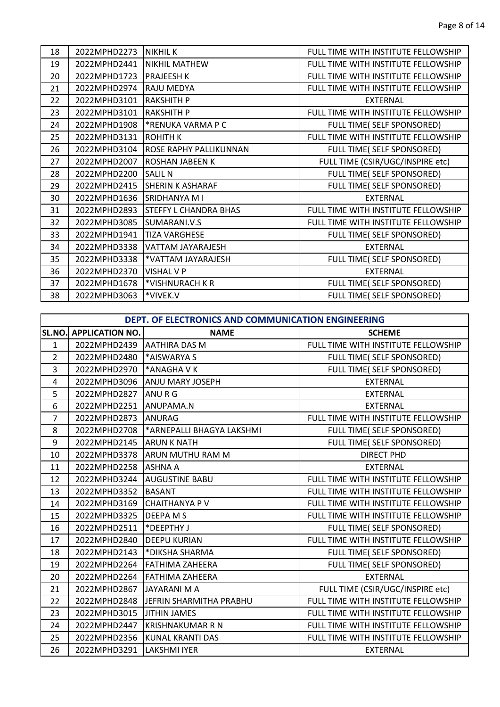| 18 | 2022MPHD2273 | <b>NIKHIL K</b>               | FULL TIME WITH INSTITUTE FELLOWSHIP |
|----|--------------|-------------------------------|-------------------------------------|
| 19 | 2022MPHD2441 | <b>NIKHIL MATHEW</b>          | FULL TIME WITH INSTITUTE FELLOWSHIP |
| 20 | 2022MPHD1723 | <b>PRAJEESH K</b>             | FULL TIME WITH INSTITUTE FELLOWSHIP |
| 21 | 2022MPHD2974 | <b>RAJU MEDYA</b>             | FULL TIME WITH INSTITUTE FELLOWSHIP |
| 22 | 2022MPHD3101 | <b>RAKSHITH P</b>             | <b>EXTERNAL</b>                     |
| 23 | 2022MPHD3101 | <b>RAKSHITH P</b>             | FULL TIME WITH INSTITUTE FELLOWSHIP |
| 24 | 2022MPHD1908 | <b>*RENUKA VARMA P C</b>      | FULL TIME( SELF SPONSORED)          |
| 25 | 2022MPHD3131 | <b>ROHITH K</b>               | FULL TIME WITH INSTITUTE FELLOWSHIP |
| 26 | 2022MPHD3104 | <b>ROSE RAPHY PALLIKUNNAN</b> | FULL TIME( SELF SPONSORED)          |
| 27 | 2022MPHD2007 | <b>ROSHAN JABEEN K</b>        | FULL TIME (CSIR/UGC/INSPIRE etc)    |
| 28 | 2022MPHD2200 | <b>SALIL N</b>                | FULL TIME( SELF SPONSORED)          |
| 29 | 2022MPHD2415 | <b>SHERIN K ASHARAF</b>       | FULL TIME( SELF SPONSORED)          |
| 30 | 2022MPHD1636 | <b>SRIDHANYA MI</b>           | <b>EXTERNAL</b>                     |
| 31 | 2022MPHD2893 | <b>STEFFY L CHANDRA BHAS</b>  | FULL TIME WITH INSTITUTE FELLOWSHIP |
| 32 | 2022MPHD3085 | SUMARANI.V.S                  | FULL TIME WITH INSTITUTE FELLOWSHIP |
| 33 | 2022MPHD1941 | <b>TIZA VARGHESE</b>          | FULL TIME( SELF SPONSORED)          |
| 34 | 2022MPHD3338 | VATTAM JAYARAJESH             | <b>EXTERNAL</b>                     |
| 35 | 2022MPHD3338 | *VATTAM JAYARAJESH            | FULL TIME( SELF SPONSORED)          |
| 36 | 2022MPHD2370 | <b>VISHAL V P</b>             | <b>EXTERNAL</b>                     |
| 37 | 2022MPHD1678 | *VISHNURACH KR                | FULL TIME( SELF SPONSORED)          |
| 38 | 2022MPHD3063 | *VIVEK.V                      | FULL TIME( SELF SPONSORED)          |

|                | DEPT. OF ELECTRONICS AND COMMUNICATION ENGINEERING |                               |                                     |  |
|----------------|----------------------------------------------------|-------------------------------|-------------------------------------|--|
| <b>SL.NO.</b>  | <b>APPLICATION NO.</b>                             | <b>NAME</b>                   | <b>SCHEME</b>                       |  |
| $\mathbf{1}$   | 2022MPHD2439                                       | <b>JAATHIRA DAS M</b>         | FULL TIME WITH INSTITUTE FELLOWSHIP |  |
| $\overline{2}$ | 2022MPHD2480                                       | <b>AISWARYA S</b>             | FULL TIME( SELF SPONSORED)          |  |
| 3              | 2022MPHD2970                                       | $\mathsf{I}^*$ ANAGHA V K     | FULL TIME( SELF SPONSORED)          |  |
| 4              | 2022MPHD3096                                       | <b>JANJU MARY JOSEPH</b>      | <b>EXTERNAL</b>                     |  |
| 5              | 2022MPHD2827                                       | <b>ANURG</b>                  | <b>EXTERNAL</b>                     |  |
| 6              | 2022MPHD2251                                       | ANUPAMA.N                     | <b>EXTERNAL</b>                     |  |
| 7              | 2022MPHD2873                                       | ANURAG                        | FULL TIME WITH INSTITUTE FELLOWSHIP |  |
| 8              | 2022MPHD2708                                       | *ARNEPALLI BHAGYA LAKSHMI     | FULL TIME( SELF SPONSORED)          |  |
| 9              | 2022MPHD2145                                       | <b>JARUN K NATH</b>           | FULL TIME( SELF SPONSORED)          |  |
| 10             |                                                    | 2022MPHD3378 ARUN MUTHU RAM M | <b>DIRECT PHD</b>                   |  |
| 11             | 2022MPHD2258                                       | <b>JASHNA A</b>               | <b>EXTERNAL</b>                     |  |
| 12             | 2022MPHD3244                                       | <b>AUGUSTINE BABU</b>         | FULL TIME WITH INSTITUTE FELLOWSHIP |  |
| 13             | 2022MPHD3352                                       | BASANT                        | FULL TIME WITH INSTITUTE FELLOWSHIP |  |
| 14             | 2022MPHD3169                                       | <b>CHAITHANYA P V</b>         | FULL TIME WITH INSTITUTE FELLOWSHIP |  |
| 15             | 2022MPHD3325                                       | <b>DEEPA MS</b>               | FULL TIME WITH INSTITUTE FELLOWSHIP |  |
| 16             | 2022MPHD2511                                       | F*DEEPTHY J                   | FULL TIME( SELF SPONSORED)          |  |
| 17             | 2022MPHD2840                                       | <b>DEEPU KURIAN</b>           | FULL TIME WITH INSTITUTE FELLOWSHIP |  |
| 18             | 2022MPHD2143                                       | *DIKSHA SHARMA                | FULL TIME( SELF SPONSORED)          |  |
| 19             | 2022MPHD2264                                       | <b>FATHIMA ZAHEERA</b>        | FULL TIME( SELF SPONSORED)          |  |
| 20             | 2022MPHD2264                                       | <b>IFATHIMA ZAHEERA</b>       | <b>EXTERNAL</b>                     |  |
| 21             | 2022MPHD2867                                       | <b>JJAYARANI M A</b>          | FULL TIME (CSIR/UGC/INSPIRE etc)    |  |
| 22             | 2022MPHD2848                                       | JEFRIN SHARMITHA PRABHU       | FULL TIME WITH INSTITUTE FELLOWSHIP |  |
| 23             | 2022MPHD3015                                       | <b>JITHIN JAMES</b>           | FULL TIME WITH INSTITUTE FELLOWSHIP |  |
| 24             | 2022MPHD2447                                       | <b>KRISHNAKUMAR R N</b>       | FULL TIME WITH INSTITUTE FELLOWSHIP |  |
| 25             | 2022MPHD2356                                       | KUNAL KRANTI DAS              | FULL TIME WITH INSTITUTE FELLOWSHIP |  |
| 26             | 2022MPHD3291                                       | LAKSHMI IYER                  | <b>EXTERNAL</b>                     |  |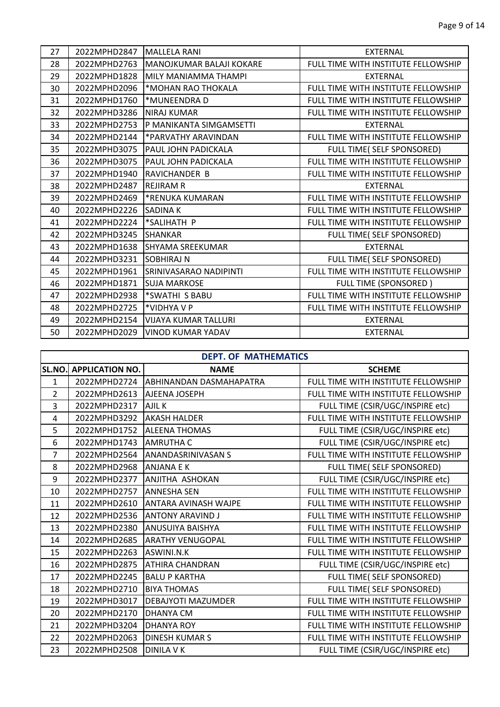| 27 | 2022MPHD2847         | <b>MALLELA RANI</b>                   | <b>FXTERNAL</b>                     |
|----|----------------------|---------------------------------------|-------------------------------------|
| 28 |                      | 2022MPHD2763 MANOJKUMAR BALAJI KOKARE | FULL TIME WITH INSTITUTE FELLOWSHIP |
| 29 | 2022MPHD1828         | MILY MANIAMMA THAMPI                  | <b>EXTERNAL</b>                     |
| 30 | 2022MPHD2096         | *MOHAN RAO THOKALA                    | FULL TIME WITH INSTITUTE FELLOWSHIP |
| 31 | 2022MPHD1760         | *MUNEENDRA D                          | FULL TIME WITH INSTITUTE FELLOWSHIP |
| 32 | 2022MPHD3286         | <b>INIRAJ KUMAR</b>                   | FULL TIME WITH INSTITUTE FELLOWSHIP |
| 33 | 2022MPHD2753         | <b>P MANIKANTA SIMGAMSETTI</b>        | <b>EXTERNAL</b>                     |
| 34 | 2022MPHD2144         | *PARVATHY ARAVINDAN                   | FULL TIME WITH INSTITUTE FELLOWSHIP |
| 35 | 2022MPHD3075         | <b>PAUL JOHN PADICKALA</b>            | FULL TIME( SELF SPONSORED)          |
| 36 | 2022MPHD3075         | <b>PAUL JOHN PADICKALA</b>            | FULL TIME WITH INSTITUTE FELLOWSHIP |
| 37 | 2022MPHD1940         | <b>IRAVICHANDER B</b>                 | FULL TIME WITH INSTITUTE FELLOWSHIP |
| 38 | 2022MPHD2487         | <b>REJIRAM R</b>                      | <b>EXTERNAL</b>                     |
| 39 | 2022MPHD2469         | *RENUKA KUMARAN                       | FULL TIME WITH INSTITUTE FELLOWSHIP |
| 40 | 2022MPHD2226 SADINAK |                                       | FULL TIME WITH INSTITUTE FELLOWSHIP |
| 41 | 2022MPHD2224         | *SALIHATH P                           | FULL TIME WITH INSTITUTE FELLOWSHIP |
| 42 | 2022MPHD3245 SHANKAR |                                       | FULL TIME( SELF SPONSORED)          |
| 43 | 2022MPHD1638         | <b>SHYAMA SREEKUMAR</b>               | <b>EXTERNAL</b>                     |
| 44 | 2022MPHD3231         | <b>ISOBHIRAJ N</b>                    | FULL TIME( SELF SPONSORED)          |
| 45 | 2022MPHD1961         | <b>SRINIVASARAO NADIPINTI</b>         | FULL TIME WITH INSTITUTE FELLOWSHIP |
| 46 | 2022MPHD1871         | <b>SUJA MARKOSE</b>                   | FULL TIME (SPONSORED)               |
| 47 | 2022MPHD2938         | *SWATHI S BABU                        | FULL TIME WITH INSTITUTE FELLOWSHIP |
| 48 | 2022MPHD2725         | *VIDHYA V P                           | FULL TIME WITH INSTITUTE FELLOWSHIP |
| 49 | 2022MPHD2154         | <b>VIJAYA KUMAR TALLURI</b>           | <b>EXTERNAL</b>                     |
| 50 | 2022MPHD2029         | <b>VINOD KUMAR YADAV</b>              | <b>EXTERNAL</b>                     |

|                | <b>DEPT. OF MATHEMATICS</b> |                                |                                     |  |
|----------------|-----------------------------|--------------------------------|-------------------------------------|--|
| SL.NO.         | <b>APPLICATION NO.</b>      | <b>NAME</b>                    | <b>SCHEME</b>                       |  |
| $\mathbf{1}$   | 2022MPHD2724                | <b>ABHINANDAN DASMAHAPATRA</b> | FULL TIME WITH INSTITUTE FELLOWSHIP |  |
| $\overline{2}$ | 2022MPHD2613                | <b>AJEENA JOSEPH</b>           | FULL TIME WITH INSTITUTE FELLOWSHIP |  |
| $\overline{3}$ | 2022MPHD2317                | <b>AJIL K</b>                  | FULL TIME (CSIR/UGC/INSPIRE etc)    |  |
| 4              | 2022MPHD3292                | <b>AKASH HALDER</b>            | FULL TIME WITH INSTITUTE FELLOWSHIP |  |
| 5              | 2022MPHD1752                | <b>ALEENA THOMAS</b>           | FULL TIME (CSIR/UGC/INSPIRE etc)    |  |
| 6              | 2022MPHD1743                | <b>JAMRUTHA C</b>              | FULL TIME (CSIR/UGC/INSPIRE etc)    |  |
| $\overline{7}$ | 2022MPHD2564                | <b>ANANDASRINIVASAN S</b>      | FULL TIME WITH INSTITUTE FELLOWSHIP |  |
| 8              | 2022MPHD2968                | <b>JANJANA E K</b>             | FULL TIME( SELF SPONSORED)          |  |
| 9              | 2022MPHD2377                | <b>ANJITHA ASHOKAN</b>         | FULL TIME (CSIR/UGC/INSPIRE etc)    |  |
| 10             | 2022MPHD2757                | <b>ANNESHA SEN</b>             | FULL TIME WITH INSTITUTE FELLOWSHIP |  |
| 11             | 2022MPHD2610                | <b>ANTARA AVINASH WAJPE</b>    | FULL TIME WITH INSTITUTE FELLOWSHIP |  |
| 12             | 2022MPHD2536                | <b>ANTONY ARAVIND J</b>        | FULL TIME WITH INSTITUTE FELLOWSHIP |  |
| 13             | 2022MPHD2380                | <b>ANUSUIYA BAISHYA</b>        | FULL TIME WITH INSTITUTE FELLOWSHIP |  |
| 14             | 2022MPHD2685                | <b>ARATHY VENUGOPAL</b>        | FULL TIME WITH INSTITUTE FELLOWSHIP |  |
| 15             | 2022MPHD2263                | ASWINI.N.K                     | FULL TIME WITH INSTITUTE FELLOWSHIP |  |
| 16             | 2022MPHD2875                | <b>ATHIRA CHANDRAN</b>         | FULL TIME (CSIR/UGC/INSPIRE etc)    |  |
| 17             | 2022MPHD2245                | <b>BALU P KARTHA</b>           | FULL TIME( SELF SPONSORED)          |  |
| 18             | 2022MPHD2710                | <b>BIYA THOMAS</b>             | FULL TIME( SELF SPONSORED)          |  |
| 19             | 2022MPHD3017                | <b>DEBAJYOTI MAZUMDER</b>      | FULL TIME WITH INSTITUTE FELLOWSHIP |  |
| 20             | 2022MPHD2170                | <b>DHANYA CM</b>               | FULL TIME WITH INSTITUTE FELLOWSHIP |  |
| 21             | 2022MPHD3204                | <b>DHANYA ROY</b>              | FULL TIME WITH INSTITUTE FELLOWSHIP |  |
| 22             | 2022MPHD2063                | <b>DINESH KUMAR S</b>          | FULL TIME WITH INSTITUTE FELLOWSHIP |  |
| 23             | 2022MPHD2508                | <b>DINILA V K</b>              | FULL TIME (CSIR/UGC/INSPIRE etc)    |  |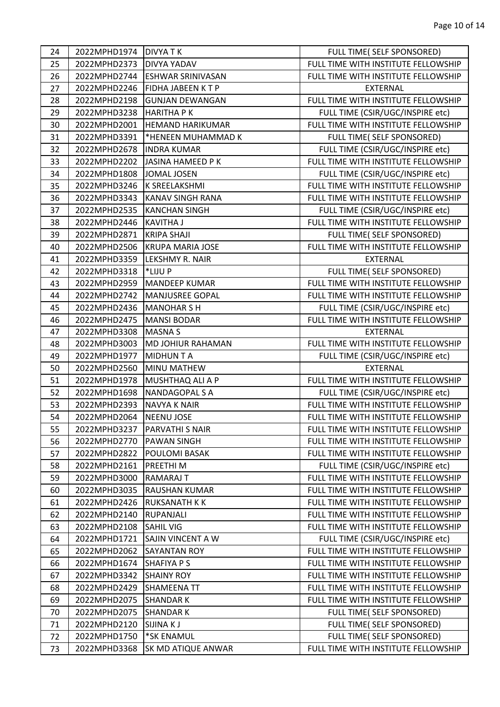| 24 | 2022MPHD1974 | <b>DIVYATK</b>           | FULL TIME( SELF SPONSORED)          |
|----|--------------|--------------------------|-------------------------------------|
| 25 | 2022MPHD2373 | <b>DIVYA YADAV</b>       | FULL TIME WITH INSTITUTE FELLOWSHIP |
| 26 | 2022MPHD2744 | <b>ESHWAR SRINIVASAN</b> | FULL TIME WITH INSTITUTE FELLOWSHIP |
| 27 | 2022MPHD2246 | <b>FIDHA JABEEN KTP</b>  | <b>EXTERNAL</b>                     |
| 28 | 2022MPHD2198 | <b>GUNJAN DEWANGAN</b>   | FULL TIME WITH INSTITUTE FELLOWSHIP |
| 29 | 2022MPHD3238 | <b>HARITHA PK</b>        | FULL TIME (CSIR/UGC/INSPIRE etc)    |
| 30 | 2022MPHD2001 | <b>HEMAND HARIKUMAR</b>  | FULL TIME WITH INSTITUTE FELLOWSHIP |
| 31 | 2022MPHD3391 | *HENEEN MUHAMMAD K       | FULL TIME( SELF SPONSORED)          |
| 32 | 2022MPHD2678 | <b>INDRA KUMAR</b>       | FULL TIME (CSIR/UGC/INSPIRE etc)    |
| 33 | 2022MPHD2202 | JASINA HAMEED P K        | FULL TIME WITH INSTITUTE FELLOWSHIP |
| 34 | 2022MPHD1808 | JOMAL JOSEN              | FULL TIME (CSIR/UGC/INSPIRE etc)    |
| 35 | 2022MPHD3246 | K SREELAKSHMI            | FULL TIME WITH INSTITUTE FELLOWSHIP |
| 36 | 2022MPHD3343 | <b>KANAV SINGH RANA</b>  | FULL TIME WITH INSTITUTE FELLOWSHIP |
| 37 | 2022MPHD2535 | <b>KANCHAN SINGH</b>     | FULL TIME (CSIR/UGC/INSPIRE etc)    |
| 38 | 2022MPHD2446 | KAVITHA J                | FULL TIME WITH INSTITUTE FELLOWSHIP |
| 39 | 2022MPHD2871 | <b>KRIPA SHAJI</b>       | FULL TIME( SELF SPONSORED)          |
| 40 | 2022MPHD2506 | <b>KRUPA MARIA JOSE</b>  | FULL TIME WITH INSTITUTE FELLOWSHIP |
| 41 | 2022MPHD3359 | LEKSHMY R. NAIR          | <b>EXTERNAL</b>                     |
| 42 | 2022MPHD3318 | *LIJU P                  | FULL TIME( SELF SPONSORED)          |
| 43 | 2022MPHD2959 | MANDEEP KUMAR            | FULL TIME WITH INSTITUTE FELLOWSHIP |
| 44 | 2022MPHD2742 | <b>MANJUSREE GOPAL</b>   | FULL TIME WITH INSTITUTE FELLOWSHIP |
| 45 | 2022MPHD2436 | MANOHAR S H              | FULL TIME (CSIR/UGC/INSPIRE etc)    |
| 46 | 2022MPHD2475 | MANSI BODAR              | FULL TIME WITH INSTITUTE FELLOWSHIP |
| 47 | 2022MPHD3308 | MASNA S                  | <b>EXTERNAL</b>                     |
| 48 | 2022MPHD3003 | <b>MD JOHIUR RAHAMAN</b> | FULL TIME WITH INSTITUTE FELLOWSHIP |
| 49 | 2022MPHD1977 | MIDHUN T A               | FULL TIME (CSIR/UGC/INSPIRE etc)    |
| 50 | 2022MPHD2560 | MINU MATHEW              | <b>EXTERNAL</b>                     |
| 51 | 2022MPHD1978 | MUSHTHAQ ALI A P         | FULL TIME WITH INSTITUTE FELLOWSHIP |
| 52 | 2022MPHD1698 | <b>NANDAGOPAL S A</b>    | FULL TIME (CSIR/UGC/INSPIRE etc)    |
| 53 | 2022MPHD2393 | <b>NAVYA K NAIR</b>      | FULL TIME WITH INSTITUTE FELLOWSHIP |
| 54 | 2022MPHD2064 | <b>NEENU JOSE</b>        | FULL TIME WITH INSTITUTE FELLOWSHIP |
| 55 | 2022MPHD3237 | <b>PARVATHI S NAIR</b>   | FULL TIME WITH INSTITUTE FELLOWSHIP |
| 56 | 2022MPHD2770 | <b>PAWAN SINGH</b>       | FULL TIME WITH INSTITUTE FELLOWSHIP |
| 57 | 2022MPHD2822 | POULOMI BASAK            | FULL TIME WITH INSTITUTE FELLOWSHIP |
| 58 | 2022MPHD2161 | <b>PREETHIM</b>          | FULL TIME (CSIR/UGC/INSPIRE etc)    |
| 59 | 2022MPHD3000 | RAMARAJ T                | FULL TIME WITH INSTITUTE FELLOWSHIP |
| 60 |              | <b>RAUSHAN KUMAR</b>     | FULL TIME WITH INSTITUTE FELLOWSHIP |
| 61 | 2022MPHD3035 |                          |                                     |
|    | 2022MPHD2426 | <b>RUKSANATH K K</b>     | FULL TIME WITH INSTITUTE FELLOWSHIP |
| 62 | 2022MPHD2140 | <b>RUPANJALI</b>         | FULL TIME WITH INSTITUTE FELLOWSHIP |
| 63 | 2022MPHD2108 | <b>SAHIL VIG</b>         | FULL TIME WITH INSTITUTE FELLOWSHIP |
| 64 | 2022MPHD1721 | <b>SAJIN VINCENT A W</b> | FULL TIME (CSIR/UGC/INSPIRE etc)    |
| 65 | 2022MPHD2062 | <b>SAYANTAN ROY</b>      | FULL TIME WITH INSTITUTE FELLOWSHIP |
| 66 | 2022MPHD1674 | <b>SHAFIYA P S</b>       | FULL TIME WITH INSTITUTE FELLOWSHIP |
| 67 | 2022MPHD3342 | <b>SHAINY ROY</b>        | FULL TIME WITH INSTITUTE FELLOWSHIP |
| 68 | 2022MPHD2429 | <b>SHAMEENA TT</b>       | FULL TIME WITH INSTITUTE FELLOWSHIP |
| 69 | 2022MPHD2075 | <b>SHANDARK</b>          | FULL TIME WITH INSTITUTE FELLOWSHIP |
| 70 | 2022MPHD2075 | <b>SHANDARK</b>          | FULL TIME( SELF SPONSORED)          |
| 71 | 2022MPHD2120 | <b>SIJINAKJ</b>          | FULL TIME( SELF SPONSORED)          |
| 72 | 2022MPHD1750 | *SK ENAMUL               | FULL TIME( SELF SPONSORED)          |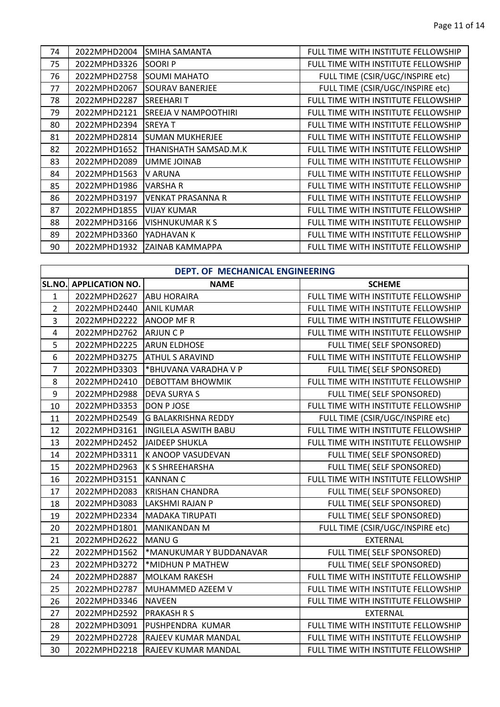| 74 | 2022MPHD2004 | SMIHA SAMANTA            | FULL TIME WITH INSTITUTE FELLOWSHIP |
|----|--------------|--------------------------|-------------------------------------|
| 75 | 2022MPHD3326 | <b>SOORIP</b>            | FULL TIME WITH INSTITUTE FELLOWSHIP |
| 76 | 2022MPHD2758 | <b>SOUMI MAHATO</b>      | FULL TIME (CSIR/UGC/INSPIRE etc)    |
| 77 | 2022MPHD2067 | SOURAV BANERJEE          | FULL TIME (CSIR/UGC/INSPIRE etc)    |
| 78 | 2022MPHD2287 | <b>SREEHARIT</b>         | FULL TIME WITH INSTITUTE FELLOWSHIP |
| 79 | 2022MPHD2121 | SREEJA V NAMPOOTHIRI     | FULL TIME WITH INSTITUTE FELLOWSHIP |
| 80 | 2022MPHD2394 | <b>SREYAT</b>            | FULL TIME WITH INSTITUTE FELLOWSHIP |
| 81 | 2022MPHD2814 | <b>SUMAN MUKHERJEE</b>   | FULL TIME WITH INSTITUTE FELLOWSHIP |
| 82 | 2022MPHD1652 | THANISHATH SAMSAD.M.K    | FULL TIME WITH INSTITUTE FELLOWSHIP |
| 83 | 2022MPHD2089 | UMME JOINAB              | FULL TIME WITH INSTITUTE FELLOWSHIP |
| 84 | 2022MPHD1563 | V ARUNA                  | FULL TIME WITH INSTITUTE FELLOWSHIP |
| 85 | 2022MPHD1986 | VARSHA R                 | FULL TIME WITH INSTITUTE FELLOWSHIP |
| 86 | 2022MPHD3197 | <b>VENKAT PRASANNA R</b> | FULL TIME WITH INSTITUTE FELLOWSHIP |
| 87 | 2022MPHD1855 | <b>VIJAY KUMAR</b>       | FULL TIME WITH INSTITUTE FELLOWSHIP |
| 88 | 2022MPHD3166 | <b>VISHNUKUMARKS</b>     | FULL TIME WITH INSTITUTE FELLOWSHIP |
| 89 | 2022MPHD3360 | YADHAVAN K               | FULL TIME WITH INSTITUTE FELLOWSHIP |
| 90 | 2022MPHD1932 | ZAINAB KAMMAPPA          | FULL TIME WITH INSTITUTE FELLOWSHIP |

|                         | DEPT. OF MECHANICAL ENGINEERING |                             |                                     |  |
|-------------------------|---------------------------------|-----------------------------|-------------------------------------|--|
|                         | SL.NO. APPLICATION NO.          | <b>NAME</b>                 | <b>SCHEME</b>                       |  |
| $\mathbf{1}$            | 2022MPHD2627                    | <b>ABU HORAIRA</b>          | FULL TIME WITH INSTITUTE FELLOWSHIP |  |
| $\overline{2}$          | 2022MPHD2440                    | <b>ANIL KUMAR</b>           | FULL TIME WITH INSTITUTE FELLOWSHIP |  |
| 3                       | 2022MPHD2222                    | <b>ANOOP MF R</b>           | FULL TIME WITH INSTITUTE FELLOWSHIP |  |
| $\overline{\mathbf{4}}$ | 2022MPHD2762                    | <b>ARJUNCP</b>              | FULL TIME WITH INSTITUTE FELLOWSHIP |  |
| 5                       | 2022MPHD2225                    | <b>ARUN ELDHOSE</b>         | FULL TIME( SELF SPONSORED)          |  |
| 6                       | 2022MPHD3275                    | <b>ATHUL S ARAVIND</b>      | FULL TIME WITH INSTITUTE FELLOWSHIP |  |
| $\overline{7}$          | 2022MPHD3303                    | *BHUVANA VARADHA V P        | FULL TIME( SELF SPONSORED)          |  |
| 8                       | 2022MPHD2410                    | <b>DEBOTTAM BHOWMIK</b>     | FULL TIME WITH INSTITUTE FELLOWSHIP |  |
| 9                       | 2022MPHD2988                    | <b>DEVA SURYA S</b>         | FULL TIME( SELF SPONSORED)          |  |
| 10                      | 2022MPHD3353                    | DON P JOSE                  | FULL TIME WITH INSTITUTE FELLOWSHIP |  |
| 11                      | 2022MPHD2549                    | G BALAKRISHNA REDDY         | FULL TIME (CSIR/UGC/INSPIRE etc)    |  |
| 12                      | 2022MPHD3161                    | <b>INGILELA ASWITH BABU</b> | FULL TIME WITH INSTITUTE FELLOWSHIP |  |
| 13                      | 2022MPHD2452                    | JAIDEEP SHUKLA              | FULL TIME WITH INSTITUTE FELLOWSHIP |  |
| 14                      | 2022MPHD3311                    | K ANOOP VASUDEVAN           | FULL TIME( SELF SPONSORED)          |  |
| 15                      | 2022MPHD2963                    | K S SHREEHARSHA             | FULL TIME( SELF SPONSORED)          |  |
| 16                      | 2022MPHD3151                    | <b>IKANNAN C</b>            | FULL TIME WITH INSTITUTE FELLOWSHIP |  |
| 17                      | 2022MPHD2083                    | <b>KRISHAN CHANDRA</b>      | FULL TIME( SELF SPONSORED)          |  |
| 18                      | 2022MPHD3083                    | LAKSHMI RAJAN P             | FULL TIME( SELF SPONSORED)          |  |
| 19                      | 2022MPHD2334                    | MADAKA TIRUPATI             | FULL TIME( SELF SPONSORED)          |  |
| 20                      | 2022MPHD1801                    | <b>MANIKANDAN M</b>         | FULL TIME (CSIR/UGC/INSPIRE etc)    |  |
| 21                      | 2022MPHD2622                    | MANU G                      | <b>EXTERNAL</b>                     |  |
| 22                      | 2022MPHD1562                    | *MANUKUMAR Y BUDDANAVAR     | FULL TIME( SELF SPONSORED)          |  |
| 23                      | 2022MPHD3272                    | *MIDHUN P MATHEW            | FULL TIME( SELF SPONSORED)          |  |
| 24                      | 2022MPHD2887                    | <b>MOLKAM RAKESH</b>        | FULL TIME WITH INSTITUTE FELLOWSHIP |  |
| 25                      | 2022MPHD2787                    | MUHAMMED AZEEM V            | FULL TIME WITH INSTITUTE FELLOWSHIP |  |
| 26                      | 2022MPHD3346                    | <b>NAVEEN</b>               | FULL TIME WITH INSTITUTE FELLOWSHIP |  |
| 27                      | 2022MPHD2592                    | <b>PRAKASH R S</b>          | <b>EXTERNAL</b>                     |  |
| 28                      | 2022MPHD3091                    | PUSHPENDRA KUMAR            | FULL TIME WITH INSTITUTE FELLOWSHIP |  |
| 29                      | 2022MPHD2728                    | RAJEEV KUMAR MANDAL         | FULL TIME WITH INSTITUTE FELLOWSHIP |  |
| 30                      | 2022MPHD2218                    | RAJEEV KUMAR MANDAL         | FULL TIME WITH INSTITUTE FELLOWSHIP |  |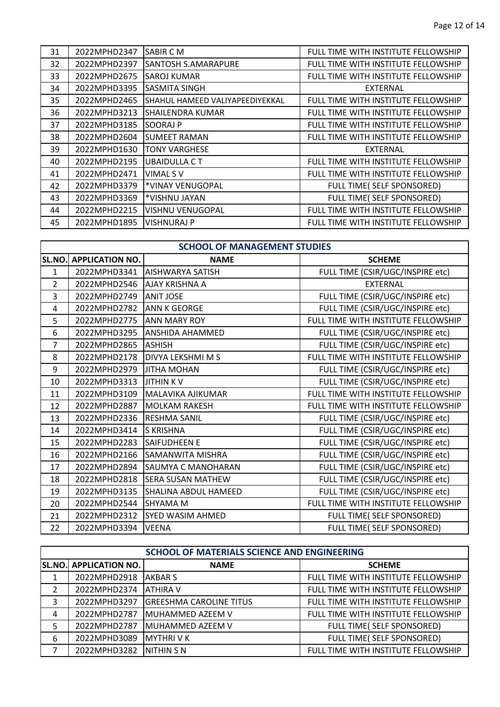| 31 | 2022MPHD2347 | <b>SABIR CM</b>                 | FULL TIME WITH INSTITUTE FELLOWSHIP |
|----|--------------|---------------------------------|-------------------------------------|
| 32 | 2022MPHD2397 | <b>SANTOSH S.AMARAPURE</b>      | FULL TIME WITH INSTITUTE FELLOWSHIP |
| 33 | 2022MPHD2675 | <b>SAROJ KUMAR</b>              | FULL TIME WITH INSTITUTE FELLOWSHIP |
| 34 | 2022MPHD3395 | <b>SASMITA SINGH</b>            | <b>EXTERNAL</b>                     |
| 35 | 2022MPHD2465 | SHAHUL HAMEED VALIYAPEEDIYEKKAL | FULL TIME WITH INSTITUTE FELLOWSHIP |
| 36 | 2022MPHD3213 | <b>SHAILENDRA KUMAR</b>         | FULL TIME WITH INSTITUTE FELLOWSHIP |
| 37 | 2022MPHD3185 | SOORAJ P                        | FULL TIME WITH INSTITUTE FELLOWSHIP |
| 38 | 2022MPHD2604 | <b>SUMEET RAMAN</b>             | FULL TIME WITH INSTITUTE FELLOWSHIP |
| 39 | 2022MPHD1630 | <b>TONY VARGHESE</b>            | <b>EXTERNAL</b>                     |
| 40 | 2022MPHD2195 | <b>UBAIDULLA CT</b>             | FULL TIME WITH INSTITUTE FELLOWSHIP |
| 41 | 2022MPHD2471 | VIMAL S V                       | FULL TIME WITH INSTITUTE FELLOWSHIP |
| 42 | 2022MPHD3379 | *VINAY VENUGOPAL                | FULL TIME( SELF SPONSORED)          |
| 43 | 2022MPHD3369 | *VISHNU JAYAN                   | FULL TIME( SELF SPONSORED)          |
| 44 | 2022MPHD2215 | <b>VISHNU VENUGOPAL</b>         | FULL TIME WITH INSTITUTE FELLOWSHIP |
| 45 | 2022MPHD1895 | <b>VISHNURAJ P</b>              | FULL TIME WITH INSTITUTE FELLOWSHIP |

|                | <b>SCHOOL OF MANAGEMENT STUDIES</b> |                             |                                     |  |
|----------------|-------------------------------------|-----------------------------|-------------------------------------|--|
| <b>SL.NO.</b>  | <b>APPLICATION NO.</b>              | <b>NAME</b>                 | <b>SCHEME</b>                       |  |
| 1              | 2022MPHD3341                        | <b>JAISHWARYA SATISH</b>    | FULL TIME (CSIR/UGC/INSPIRE etc)    |  |
| $\overline{2}$ | 2022MPHD2546 AJAY KRISHNA A         |                             | <b>EXTERNAL</b>                     |  |
| 3              | 2022MPHD2749                        | <b>ANIT JOSE</b>            | FULL TIME (CSIR/UGC/INSPIRE etc)    |  |
| 4              | 2022MPHD2782                        | <b>ANN K GEORGE</b>         | FULL TIME (CSIR/UGC/INSPIRE etc)    |  |
| 5              | 2022MPHD2775                        | <b>ANN MARY ROY</b>         | FULL TIME WITH INSTITUTE FELLOWSHIP |  |
| 6              | 2022MPHD3295                        | <b>JANSHIDA AHAMMED</b>     | FULL TIME (CSIR/UGC/INSPIRE etc)    |  |
| $\overline{7}$ | 2022MPHD2865                        | <b>ASHISH</b>               | FULL TIME (CSIR/UGC/INSPIRE etc)    |  |
| 8              | 2022MPHD2178                        | <b>IDIVYA LEKSHMI M S</b>   | FULL TIME WITH INSTITUTE FELLOWSHIP |  |
| 9              | 2022MPHD2979                        | <b>JITHA MOHAN</b>          | FULL TIME (CSIR/UGC/INSPIRE etc)    |  |
| 10             | 2022MPHD3313                        | <b>JITHINKV</b>             | FULL TIME (CSIR/UGC/INSPIRE etc)    |  |
| 11             | 2022MPHD3109                        | MALAVIKA AJIKUMAR           | FULL TIME WITH INSTITUTE FELLOWSHIP |  |
| 12             | 2022MPHD2887                        | <b>IMOLKAM RAKESH</b>       | FULL TIME WITH INSTITUTE FELLOWSHIP |  |
| 13             | 2022MPHD2336                        | <b>IRESHMA SANIL</b>        | FULL TIME (CSIR/UGC/INSPIRE etc)    |  |
| 14             | 2022MPHD3414                        | IS KRISHNA                  | FULL TIME (CSIR/UGC/INSPIRE etc)    |  |
| 15             | 2022MPHD2283                        | <b>SAIFUDHEEN E</b>         | FULL TIME (CSIR/UGC/INSPIRE etc)    |  |
| 16             | 2022MPHD2166                        | <b>SAMANWITA MISHRA</b>     | FULL TIME (CSIR/UGC/INSPIRE etc)    |  |
| 17             | 2022MPHD2894                        | <b>ISAUMYA C MANOHARAN</b>  | FULL TIME (CSIR/UGC/INSPIRE etc)    |  |
| 18             | 2022MPHD2818                        | <b>SERA SUSAN MATHEW</b>    | FULL TIME (CSIR/UGC/INSPIRE etc)    |  |
| 19             | 2022MPHD3135                        | <b>SHALINA ABDUL HAMEED</b> | FULL TIME (CSIR/UGC/INSPIRE etc)    |  |
| 20             | 2022MPHD2544                        | <b>ISHYAMA M</b>            | FULL TIME WITH INSTITUTE FELLOWSHIP |  |
| 21             | 2022MPHD2312                        | <b>SYED WASIM AHMED</b>     | FULL TIME( SELF SPONSORED)          |  |
| 22             | 2022MPHD3394                        | <b>VEENA</b>                | FULL TIME( SELF SPONSORED)          |  |

| SCHOOL OF MATERIALS SCIENCE AND ENGINEERING |                               |                                 |                                     |
|---------------------------------------------|-------------------------------|---------------------------------|-------------------------------------|
|                                             | <b>SL.NO. APPLICATION NO.</b> | <b>NAME</b>                     | <b>SCHEME</b>                       |
|                                             | 2022MPHD2918                  | <b>JAKBAR S</b>                 | FULL TIME WITH INSTITUTE FELLOWSHIP |
| $\mathcal{P}$                               | 2022MPHD2374                  | <b>JATHIRA V</b>                | FULL TIME WITH INSTITUTE FELLOWSHIP |
| 3                                           | 2022MPHD3297                  | <b>IGREESHMA CAROLINE TITUS</b> | FULL TIME WITH INSTITUTE FELLOWSHIP |
| 4                                           | 2022MPHD2787                  | <b>IMUHAMMED AZEEM V</b>        | FULL TIME WITH INSTITUTE FELLOWSHIP |
| 5                                           | 2022MPHD2787                  | <b>IMUHAMMED AZEEM V</b>        | FULL TIME( SELF SPONSORED)          |
| 6                                           | 2022MPHD3089                  | <b>IMYTHRIVK</b>                | FULL TIME( SELF SPONSORED)          |
|                                             | 2022MPHD3282 INITHIN S N      |                                 | FULL TIME WITH INSTITUTE FELLOWSHIP |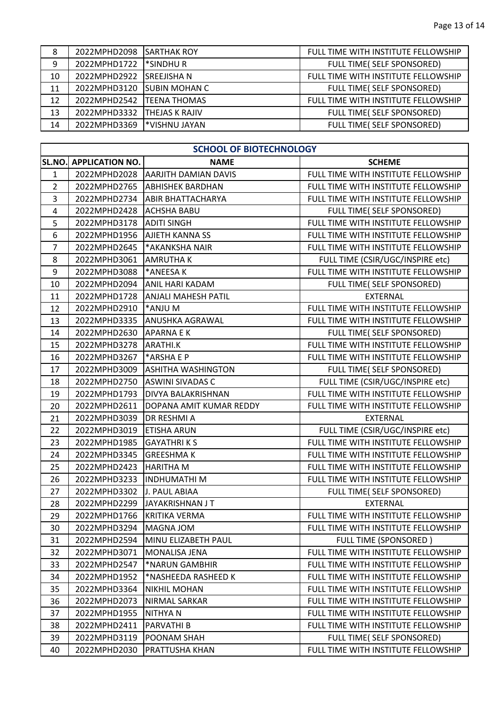| 8  | 2022MPHD2098 ISARTHAK ROY  |                        | FULL TIME WITH INSTITUTE FELLOWSHIP |
|----|----------------------------|------------------------|-------------------------------------|
| 9  | 2022MPHD1722  *SINDHU R    |                        | FULL TIME( SELF SPONSORED)          |
| 10 | 2022MPHD2922               | ISREEJISHA N           | FULL TIME WITH INSTITUTE FELLOWSHIP |
| 11 | 2022MPHD3120               | <b>ISUBIN MOHAN C</b>  | FULL TIME( SELF SPONSORED)          |
| 12 | 2022MPHD2542  TEENA THOMAS |                        | FULL TIME WITH INSTITUTE FELLOWSHIP |
| 13 | 2022MPHD3332               | <b>ITHEJAS K RAJIV</b> | FULL TIME( SELF SPONSORED)          |
| 14 | 2022MPHD3369               | I*VISHNU JAYAN         | FULL TIME( SELF SPONSORED)          |

| <b>SCHOOL OF BIOTECHNOLOGY</b> |                        |                             |                                     |  |
|--------------------------------|------------------------|-----------------------------|-------------------------------------|--|
| SL.NO.                         | <b>APPLICATION NO.</b> | <b>NAME</b>                 | <b>SCHEME</b>                       |  |
| $\mathbf{1}$                   | 2022MPHD2028           | <b>AARJITH DAMIAN DAVIS</b> | FULL TIME WITH INSTITUTE FELLOWSHIP |  |
| $\overline{2}$                 | 2022MPHD2765           | <b>ABHISHEK BARDHAN</b>     | FULL TIME WITH INSTITUTE FELLOWSHIP |  |
| 3                              | 2022MPHD2734           | <b>ABIR BHATTACHARYA</b>    | FULL TIME WITH INSTITUTE FELLOWSHIP |  |
| $\overline{\mathbf{4}}$        | 2022MPHD2428           | <b>ACHSHA BABU</b>          | FULL TIME( SELF SPONSORED)          |  |
| 5                              | 2022MPHD3178           | <b>ADITI SINGH</b>          | FULL TIME WITH INSTITUTE FELLOWSHIP |  |
| 6                              | 2022MPHD1956           | <b>AJIETH KANNA SS</b>      | FULL TIME WITH INSTITUTE FELLOWSHIP |  |
| $\overline{7}$                 | 2022MPHD2645           | *AKANKSHA NAIR              | FULL TIME WITH INSTITUTE FELLOWSHIP |  |
| 8                              | 2022MPHD3061           | <b>AMRUTHAK</b>             | FULL TIME (CSIR/UGC/INSPIRE etc)    |  |
| 9                              | 2022MPHD3088           | *ANEESA K                   | FULL TIME WITH INSTITUTE FELLOWSHIP |  |
| 10                             | 2022MPHD2094           | ANIL HARI KADAM             | FULL TIME( SELF SPONSORED)          |  |
| 11                             | 2022MPHD1728           | <b>ANJALI MAHESH PATIL</b>  | <b>EXTERNAL</b>                     |  |
| 12                             | 2022MPHD2910           | *ANJU M                     | FULL TIME WITH INSTITUTE FELLOWSHIP |  |
| 13                             | 2022MPHD3335           | ANUSHKA AGRAWAL             | FULL TIME WITH INSTITUTE FELLOWSHIP |  |
| 14                             | 2022MPHD2630           | <b>APARNA E K</b>           | FULL TIME( SELF SPONSORED)          |  |
| 15                             | 2022MPHD3278           | ARATHI.K                    | FULL TIME WITH INSTITUTE FELLOWSHIP |  |
| 16                             | 2022MPHD3267           | *ARSHA E P                  | FULL TIME WITH INSTITUTE FELLOWSHIP |  |
| 17                             | 2022MPHD3009           | <b>ASHITHA WASHINGTON</b>   | FULL TIME( SELF SPONSORED)          |  |
| 18                             | 2022MPHD2750           | <b>ASWINI SIVADAS C</b>     | FULL TIME (CSIR/UGC/INSPIRE etc)    |  |
| 19                             | 2022MPHD1793           | DIVYA BALAKRISHNAN          | FULL TIME WITH INSTITUTE FELLOWSHIP |  |
| 20                             | 2022MPHD2611           | DOPANA AMIT KUMAR REDDY     | FULL TIME WITH INSTITUTE FELLOWSHIP |  |
| 21                             | 2022MPHD3039           | <b>DR RESHMI A</b>          | <b>EXTERNAL</b>                     |  |
| 22                             | 2022MPHD3019           | <b>ETISHA ARUN</b>          | FULL TIME (CSIR/UGC/INSPIRE etc)    |  |
| 23                             | 2022MPHD1985           | <b>GAYATHRIKS</b>           | FULL TIME WITH INSTITUTE FELLOWSHIP |  |
| 24                             | 2022MPHD3345           | <b>GREESHMAK</b>            | FULL TIME WITH INSTITUTE FELLOWSHIP |  |
| 25                             | 2022MPHD2423           | <b>HARITHA M</b>            | FULL TIME WITH INSTITUTE FELLOWSHIP |  |
| 26                             | 2022MPHD3233           | <b>INDHUMATHIM</b>          | FULL TIME WITH INSTITUTE FELLOWSHIP |  |
| 27                             | 2022MPHD3302           | J. PAUL ABIAA               | FULL TIME( SELF SPONSORED)          |  |
| 28                             | 2022MPHD2299           | JAYAKRISHNAN J T            | <b>EXTERNAL</b>                     |  |
| 29                             | 2022MPHD1766           | <b>KRITIKA VERMA</b>        | FULL TIME WITH INSTITUTE FELLOWSHIP |  |
| 30                             | 2022MPHD3294           | MAGNA JOM                   | FULL TIME WITH INSTITUTE FELLOWSHIP |  |
| 31                             | 2022MPHD2594           | MINU ELIZABETH PAUL         | <b>FULL TIME (SPONSORED)</b>        |  |
| 32                             | 2022MPHD3071           | <b>MONALISA JENA</b>        | FULL TIME WITH INSTITUTE FELLOWSHIP |  |
| 33                             | 2022MPHD2547           | *NARUN GAMBHIR              | FULL TIME WITH INSTITUTE FELLOWSHIP |  |
| 34                             | 2022MPHD1952           | *NASHEEDA RASHEED K         | FULL TIME WITH INSTITUTE FELLOWSHIP |  |
| 35                             | 2022MPHD3364           | <b>NIKHIL MOHAN</b>         | FULL TIME WITH INSTITUTE FELLOWSHIP |  |
| 36                             | 2022MPHD2073           | NIRMAL SARKAR               | FULL TIME WITH INSTITUTE FELLOWSHIP |  |
| 37                             | 2022MPHD1955           | <b>NITHYAN</b>              | FULL TIME WITH INSTITUTE FELLOWSHIP |  |
| 38                             | 2022MPHD2411           | <b>PARVATHIB</b>            | FULL TIME WITH INSTITUTE FELLOWSHIP |  |

39 2022MPHD3119 POONAM SHAH FULL TIME (SELF SPONSORED)<br>40 2022MPHD2030 PRATTUSHA KHAN FULL TIME WITH INSTITUTE FELLOW 40 2022MPHD2030 PRATTUSHA KHAN FULL TIME WITH INSTITUTE FELLOWSHIP